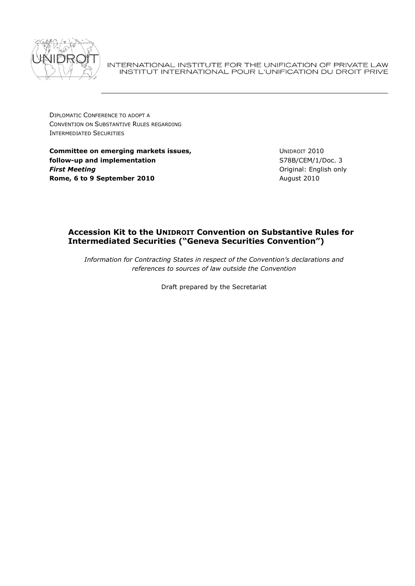

INTERNATIONAL INSTITUTE FOR THE UNIFICATION OF PRIVATE LAW INSTITUT INTERNATIONAL POUR L'UNIFICATION DU DROIT PRIVE

DIPLOMATIC CONFERENCE TO ADOPT A CONVENTION ON SUBSTANTIVE RULES REGARDING INTERMEDIATED SECURITIES

**Committee on emerging markets issues, follow-up and implementation** *First Meeting* **Rome, 6 to 9 September 2010**

UNIDROIT 2010 S78B/CEM/1/Doc. 3 Original: English only August 2010

## **Accession Kit to the UNIDROIT Convention on Substantive Rules for Intermediated Securities ("Geneva Securities Convention")**

*Information for Contracting States in respect of the Convention's declarations and references to sources of law outside the Convention*

Draft prepared by the Secretariat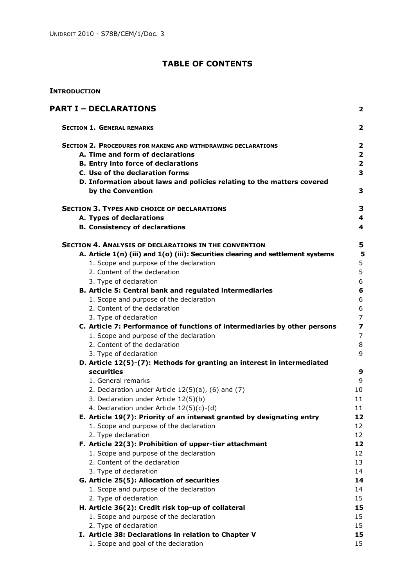# **TABLE OF CONTENTS**

### **INTRODUCTION**

| <b>PART I – DECLARATIONS</b> |                                                                                             |                         |
|------------------------------|---------------------------------------------------------------------------------------------|-------------------------|
|                              | <b>SECTION 1. GENERAL REMARKS</b>                                                           | $\overline{2}$          |
|                              | <b>SECTION 2. PROCEDURES FOR MAKING AND WITHDRAWING DECLARATIONS</b>                        | 2                       |
|                              | A. Time and form of declarations                                                            | $\overline{\mathbf{2}}$ |
|                              | <b>B. Entry into force of declarations</b>                                                  | $\overline{\mathbf{2}}$ |
|                              | C. Use of the declaration forms                                                             | 3                       |
|                              | D. Information about laws and policies relating to the matters covered<br>by the Convention | 3                       |
|                              | <b>SECTION 3. TYPES AND CHOICE OF DECLARATIONS</b>                                          | 3                       |
|                              | A. Types of declarations                                                                    | 4                       |
|                              | <b>B. Consistency of declarations</b>                                                       | 4                       |
|                              | SECTION 4. ANALYSIS OF DECLARATIONS IN THE CONVENTION                                       | 5                       |
|                              | A. Article 1(n) (iii) and 1(o) (iii): Securities clearing and settlement systems            | 5                       |
|                              | 1. Scope and purpose of the declaration                                                     | 5                       |
|                              | 2. Content of the declaration                                                               | 5                       |
|                              | 3. Type of declaration                                                                      | 6                       |
|                              | B. Article 5: Central bank and regulated intermediaries                                     | $\bf 6$                 |
|                              | 1. Scope and purpose of the declaration                                                     | 6                       |
|                              | 2. Content of the declaration                                                               | 6                       |
|                              | 3. Type of declaration                                                                      | $\overline{7}$          |
|                              | C. Article 7: Performance of functions of intermediaries by other persons                   | $\overline{\mathbf{z}}$ |
|                              | 1. Scope and purpose of the declaration<br>2. Content of the declaration                    | 7<br>8                  |
|                              | 3. Type of declaration                                                                      | 9                       |
|                              | D. Article 12(5)-(7): Methods for granting an interest in intermediated                     |                         |
|                              | securities                                                                                  | 9                       |
|                              | 1. General remarks                                                                          | 9                       |
|                              | 2. Declaration under Article 12(5)(a), (6) and (7)                                          | 10                      |
|                              | 3. Declaration under Article 12(5)(b)                                                       | 11                      |
|                              | 4. Declaration under Article 12(5)(c)-(d)                                                   | 11                      |
|                              | E. Article 19(7): Priority of an interest granted by designating entry                      | 12                      |
|                              | 1. Scope and purpose of the declaration                                                     | 12                      |
|                              | 2. Type declaration                                                                         | 12                      |
|                              | F. Article 22(3): Prohibition of upper-tier attachment                                      | 12                      |
|                              | 1. Scope and purpose of the declaration                                                     | 12                      |
|                              | 2. Content of the declaration                                                               | 13                      |
|                              | 3. Type of declaration                                                                      | 14                      |
|                              | G. Article 25(5): Allocation of securities                                                  | 14                      |
|                              | 1. Scope and purpose of the declaration                                                     | 14                      |
|                              | 2. Type of declaration                                                                      | 15                      |
|                              | H. Article 36(2): Credit risk top-up of collateral                                          | 15                      |
|                              | 1. Scope and purpose of the declaration                                                     | 15                      |
|                              | 2. Type of declaration                                                                      | 15                      |
|                              | I. Article 38: Declarations in relation to Chapter V                                        | 15                      |
|                              | 1. Scope and goal of the declaration                                                        | 15                      |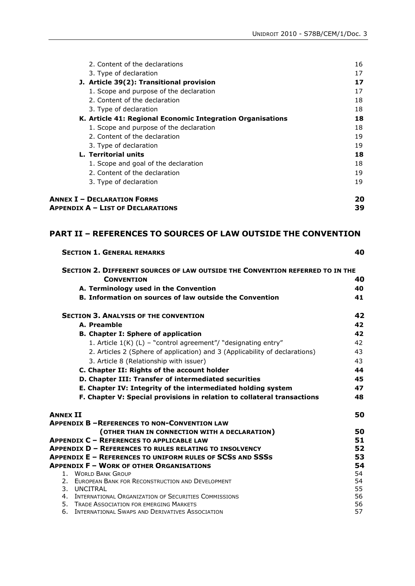| 2. Content of the declarations                             | 16 |
|------------------------------------------------------------|----|
| 3. Type of declaration                                     | 17 |
| J. Article 39(2): Transitional provision                   | 17 |
| 1. Scope and purpose of the declaration                    | 17 |
| 2. Content of the declaration                              | 18 |
| 3. Type of declaration                                     | 18 |
| K. Article 41: Regional Economic Integration Organisations | 18 |
| 1. Scope and purpose of the declaration                    | 18 |
| 2. Content of the declaration                              | 19 |
| 3. Type of declaration                                     | 19 |
| <b>L. Territorial units</b>                                | 18 |
| 1. Scope and goal of the declaration                       | 18 |
| 2. Content of the declaration                              | 19 |
| 3. Type of declaration                                     | 19 |
| <b>ANNEX I - DECLARATION FORMS</b>                         |    |
| <b>APPENDIX A - LIST OF DECLARATIONS</b>                   | 39 |

## **PART II – REFERENCES TO SOURCES OF LAW OUTSIDE THE CONVENTION**

|                 | <b>SECTION 1. GENERAL REMARKS</b>                                                                    | 40       |
|-----------------|------------------------------------------------------------------------------------------------------|----------|
|                 | SECTION 2. DIFFERENT SOURCES OF LAW OUTSIDE THE CONVENTION REFERRED TO IN THE                        |          |
|                 | <b>CONVENTION</b>                                                                                    | 40       |
|                 | A. Terminology used in the Convention                                                                | 40       |
|                 | <b>B. Information on sources of law outside the Convention</b>                                       | 41       |
|                 | <b>SECTION 3. ANALYSIS OF THE CONVENTION</b>                                                         | 42       |
|                 | A. Preamble                                                                                          | 42       |
|                 | <b>B. Chapter I: Sphere of application</b>                                                           | 42       |
|                 | 1. Article $1(K)$ (L) – "control agreement"/ "designating entry"                                     | 42       |
|                 | 2. Articles 2 (Sphere of application) and 3 (Applicability of declarations)                          | 43       |
|                 | 3. Article 8 (Relationship with issuer)                                                              | 43       |
|                 | C. Chapter II: Rights of the account holder                                                          | 44       |
|                 | D. Chapter III: Transfer of intermediated securities                                                 | 45       |
|                 | E. Chapter IV: Integrity of the intermediated holding system                                         | 47       |
|                 | F. Chapter V: Special provisions in relation to collateral transactions                              | 48       |
| <b>ANNEX II</b> |                                                                                                      | 50       |
|                 | <b>APPENDIX B - REFERENCES TO NON-CONVENTION LAW</b>                                                 |          |
|                 | (OTHER THAN IN CONNECTION WITH A DECLARATION)                                                        | 50       |
|                 | <b>APPENDIX C - REFERENCES TO APPLICABLE LAW</b>                                                     | 51       |
|                 | APPENDIX D - REFERENCES TO RULES RELATING TO INSOLVENCY                                              | 52       |
|                 | APPENDIX E - REFERENCES TO UNIFORM RULES OF SCSS AND SSSS                                            | 53       |
|                 | <b>APPENDIX F - WORK OF OTHER ORGANISATIONS</b>                                                      | 54       |
|                 | 1. WORLD BANK GROUP                                                                                  | 54       |
|                 | 2. EUROPEAN BANK FOR RECONSTRUCTION AND DEVELOPMENT                                                  | 54       |
|                 | 3. UNCITRAL                                                                                          | 55       |
|                 | 4. INTERNATIONAL ORGANIZATION OF SECURITIES COMMISSIONS<br>5. TRADE ASSOCIATION FOR EMERGING MARKETS | 56<br>56 |
|                 | 6. INTERNATIONAL SWAPS AND DERIVATIVES ASSOCIATION                                                   | 57       |
|                 |                                                                                                      |          |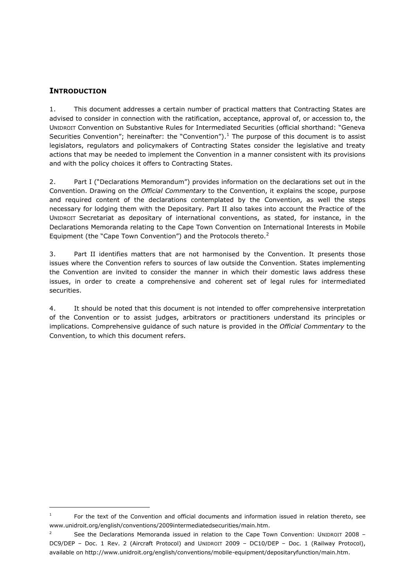## **INTRODUCTION**

 $\overline{a}$ 

1. This document addresses a certain number of practical matters that Contracting States are advised to consider in connection with the ratification, acceptance, approval of, or accession to, the UNIDROIT Convention on Substantive Rules for Intermediated Securities (official shorthand: "Geneva Securities Convention"; hereinafter: the "Convention").<sup>1</sup> The purpose of this document is to assist legislators, regulators and policymakers of Contracting States consider the legislative and treaty actions that may be needed to implement the Convention in a manner consistent with its provisions and with the policy choices it offers to Contracting States.

2. Part I ("Declarations Memorandum") provides information on the declarations set out in the Convention. Drawing on the *Official Commentary* to the Convention, it explains the scope, purpose and required content of the declarations contemplated by the Convention, as well the steps necessary for lodging them with the Depositary. Part II also takes into account the Practice of the UNIDROIT Secretariat as depositary of international conventions, as stated, for instance, in the Declarations Memoranda relating to the Cape Town Convention on International Interests in Mobile Equipment (the "Cape Town Convention") and the Protocols thereto. $2^2$ 

3. Part II identifies matters that are not harmonised by the Convention. It presents those issues where the Convention refers to sources of law outside the Convention. States implementing the Convention are invited to consider the manner in which their domestic laws address these issues, in order to create a comprehensive and coherent set of legal rules for intermediated securities.

4. It should be noted that this document is not intended to offer comprehensive interpretation of the Convention or to assist judges, arbitrators or practitioners understand its principles or implications. Comprehensive guidance of such nature is provided in the *Official Commentary* to the Convention, to which this document refers.

<sup>1</sup> For the text of the Convention and official documents and information issued in relation thereto, see www.unidroit.org/english/conventions/2009intermediatedsecurities/main.htm.

<sup>2</sup> See the Declarations Memoranda issued in relation to the Cape Town Convention: UNIDROIT 2008 – DC9/DEP - Doc. 1 Rev. 2 (Aircraft Protocol) and UNIDROIT 2009 - DC10/DEP - Doc. 1 (Railway Protocol), available on http://www.unidroit.org/english/conventions/mobile-equipment/depositaryfunction/main.htm.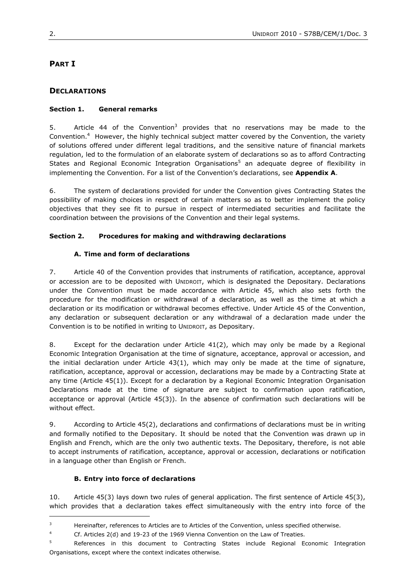# **PART I**

## **DECLARATIONS**

### **Section 1. General remarks**

5. Article 44 of the Convention<sup>3</sup> provides that no reservations may be made to the Convention.<sup>4</sup> However, the highly technical subject matter covered by the Convention, the variety of solutions offered under different legal traditions, and the sensitive nature of financial markets regulation, led to the formulation of an elaborate system of declarations so as to afford Contracting States and Regional Economic Integration Organisations<sup>5</sup> an adequate degree of flexibility in implementing the Convention. For a list of the Convention"s declarations, see **Appendix A**.

6. The system of declarations provided for under the Convention gives Contracting States the possibility of making choices in respect of certain matters so as to better implement the policy objectives that they see fit to pursue in respect of intermediated securities and facilitate the coordination between the provisions of the Convention and their legal systems.

### **Section 2. Procedures for making and withdrawing declarations**

### **A. Time and form of declarations**

7. Article 40 of the Convention provides that instruments of ratification, acceptance, approval or accession are to be deposited with UNIDROIT, which is designated the Depositary. Declarations under the Convention must be made accordance with Article 45, which also sets forth the procedure for the modification or withdrawal of a declaration, as well as the time at which a declaration or its modification or withdrawal becomes effective. Under Article 45 of the Convention, any declaration or subsequent declaration or any withdrawal of a declaration made under the Convention is to be notified in writing to UNIDROIT, as Depositary.

8. Except for the declaration under Article 41(2), which may only be made by a Regional Economic Integration Organisation at the time of signature, acceptance, approval or accession, and the initial declaration under Article 43(1), which may only be made at the time of signature, ratification, acceptance, approval or accession, declarations may be made by a Contracting State at any time (Article 45(1)). Except for a declaration by a Regional Economic Integration Organisation Declarations made at the time of signature are subject to confirmation upon ratification, acceptance or approval (Article 45(3)). In the absence of confirmation such declarations will be without effect.

9. According to Article 45(2), declarations and confirmations of declarations must be in writing and formally notified to the Depositary. It should be noted that the Convention was drawn up in English and French, which are the only two authentic texts. The Depositary, therefore, is not able to accept instruments of ratification, acceptance, approval or accession, declarations or notification in a language other than English or French.

#### **B. Entry into force of declarations**

 $\overline{a}$ 

10. Article 45(3) lays down two rules of general application. The first sentence of Article 45(3), which provides that a declaration takes effect simultaneously with the entry into force of the

<sup>&</sup>lt;sup>3</sup> Hereinafter, references to Articles are to Articles of the Convention, unless specified otherwise.

<sup>4</sup> Cf. Articles 2(d) and 19-23 of the 1969 Vienna Convention on the Law of Treaties.

<sup>5</sup> References in this document to Contracting States include Regional Economic Integration Organisations, except where the context indicates otherwise.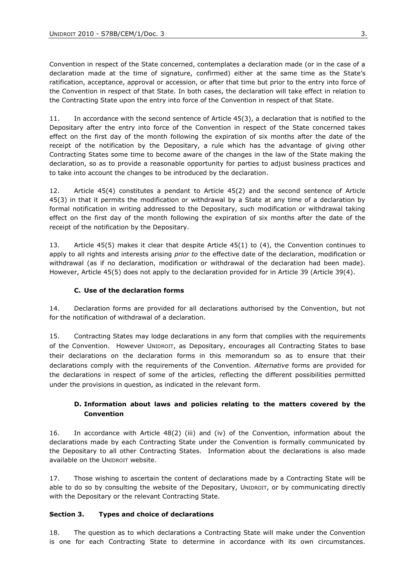Convention in respect of the State concerned, contemplates a declaration made (or in the case of a declaration made at the time of signature, confirmed) either at the same time as the State"s ratification, acceptance, approval or accession, or after that time but prior to the entry into force of the Convention in respect of that State. In both cases, the declaration will take effect in relation to the Contracting State upon the entry into force of the Convention in respect of that State.

11. In accordance with the second sentence of Article 45(3), a declaration that is notified to the Depositary after the entry into force of the Convention in respect of the State concerned takes effect on the first day of the month following the expiration of six months after the date of the receipt of the notification by the Depositary, a rule which has the advantage of giving other Contracting States some time to become aware of the changes in the law of the State making the declaration, so as to provide a reasonable opportunity for parties to adjust business practices and to take into account the changes to be introduced by the declaration.

12. Article 45(4) constitutes a pendant to Article 45(2) and the second sentence of Article 45(3) in that it permits the modification or withdrawal by a State at any time of a declaration by formal notification in writing addressed to the Depositary, such modification or withdrawal taking effect on the first day of the month following the expiration of six months after the date of the receipt of the notification by the Depositary.

13. Article 45(5) makes it clear that despite Article 45(1) to (4), the Convention continues to apply to all rights and interests arising *prior to* the effective date of the declaration, modification or withdrawal (as if no declaration, modification or withdrawal of the declaration had been made). However, Article 45(5) does not apply to the declaration provided for in Article 39 (Article 39(4).

#### **C. Use of the declaration forms**

14. Declaration forms are provided for all declarations authorised by the Convention, but not for the notification of withdrawal of a declaration.

15. Contracting States may lodge declarations in any form that complies with the requirements of the Convention. However UNIDROIT, as Depositary, encourages all Contracting States to base their declarations on the declaration forms in this memorandum so as to ensure that their declarations comply with the requirements of the Convention. *Alternative* forms are provided for the declarations in respect of some of the articles, reflecting the different possibilities permitted under the provisions in question, as indicated in the relevant form.

## **D. Information about laws and policies relating to the matters covered by the Convention**

16. In accordance with Article 48(2) (iii) and (iv) of the Convention, information about the declarations made by each Contracting State under the Convention is formally communicated by the Depositary to all other Contracting States. Information about the declarations is also made available on the UNIDROIT website.

17. Those wishing to ascertain the content of declarations made by a Contracting State will be able to do so by consulting the website of the Depositary, UNIDROIT, or by communicating directly with the Depositary or the relevant Contracting State.

#### **Section 3. Types and choice of declarations**

18. The question as to which declarations a Contracting State will make under the Convention is one for each Contracting State to determine in accordance with its own circumstances.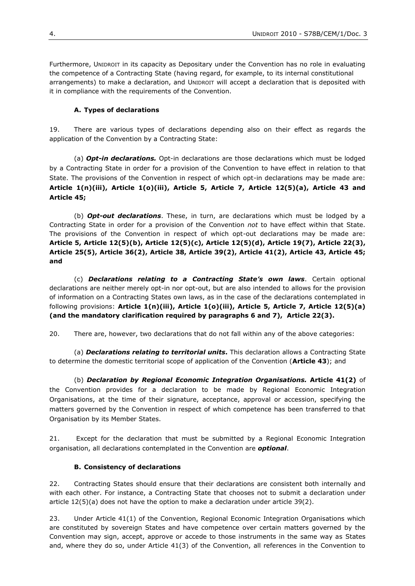Furthermore, UNIDROIT in its capacity as Depositary under the Convention has no role in evaluating the competence of a Contracting State (having regard, for example, to its internal constitutional arrangements) to make a declaration, and UNIDROIT will accept a declaration that is deposited with it in compliance with the requirements of the Convention.

#### **A. Types of declarations**

19. There are various types of declarations depending also on their effect as regards the application of the Convention by a Contracting State:

(a) *Opt-in declarations.* Opt-in declarations are those declarations which must be lodged by a Contracting State in order for a provision of the Convention to have effect in relation to that State. The provisions of the Convention in respect of which opt-in declarations may be made are: **Article 1(n)(iii), Article 1(o)(iii), Article 5, Article 7, Article 12(5)(a), Article 43 and Article 45;**

(b) *Opt-out declarations*. These, in turn, are declarations which must be lodged by a Contracting State in order for a provision of the Convention *not* to have effect within that State. The provisions of the Convention in respect of which opt-out declarations may be made are: **Article 5, Article 12(5)(b), Article 12(5)(c), Article 12(5)(d), Article 19(7), Article 22(3), Article 25(5), Article 36(2), Article 38, Article 39(2), Article 41(2), Article 43, Article 45; and**

(c) *Declarations relating to a Contracting State's own laws*. Certain optional declarations are neither merely opt-in nor opt-out, but are also intended to allows for the provision of information on a Contracting States own laws, as in the case of the declarations contemplated in following provisions: **Article 1(n)(iii), Article 1(o)(iii), Article 5, Article 7, Article 12(5)(a) (and the mandatory clarification required by paragraphs 6 and 7), Article 22(3).**

20. There are, however, two declarations that do not fall within any of the above categories:

(a) *Declarations relating to territorial units***.** This declaration allows a Contracting State to determine the domestic territorial scope of application of the Convention (**Article 43**); and

(b) *Declaration by Regional Economic Integration Organisations.* **Article 41(2)** of the Convention provides for a declaration to be made by Regional Economic Integration Organisations, at the time of their signature, acceptance, approval or accession, specifying the matters governed by the Convention in respect of which competence has been transferred to that Organisation by its Member States.

21. Except for the declaration that must be submitted by a Regional Economic Integration organisation, all declarations contemplated in the Convention are *optional*.

#### **B. Consistency of declarations**

22. Contracting States should ensure that their declarations are consistent both internally and with each other. For instance, a Contracting State that chooses not to submit a declaration under article 12(5)(a) does not have the option to make a declaration under article 39(2).

23. Under Article 41(1) of the Convention, Regional Economic Integration Organisations which are constituted by sovereign States and have competence over certain matters governed by the Convention may sign, accept, approve or accede to those instruments in the same way as States and, where they do so, under Article 41(3) of the Convention, all references in the Convention to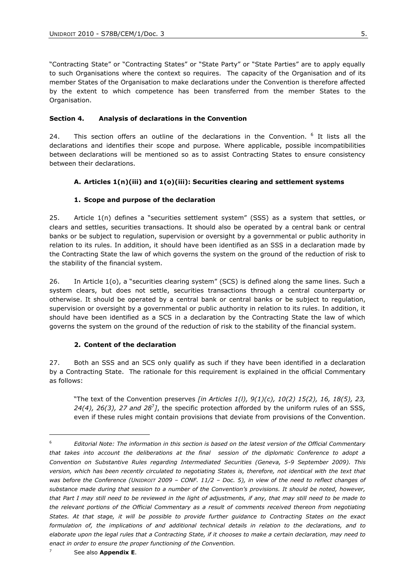"Contracting State" or "Contracting States" or "State Party" or "State Parties" are to apply equally to such Organisations where the context so requires. The capacity of the Organisation and of its member States of the Organisation to make declarations under the Convention is therefore affected by the extent to which competence has been transferred from the member States to the Organisation.

#### **Section 4. Analysis of declarations in the Convention**

24. This section offers an outline of the declarations in the Convention. <sup>6</sup> It lists all the declarations and identifies their scope and purpose. Where applicable, possible incompatibilities between declarations will be mentioned so as to assist Contracting States to ensure consistency between their declarations.

#### **A. Articles 1(n)(iii) and 1(o)(iii): Securities clearing and settlement systems**

#### **1. Scope and purpose of the declaration**

25. Article 1(n) defines a "securities settlement system" (SSS) as a system that settles, or clears and settles, securities transactions. It should also be operated by a central bank or central banks or be subject to regulation, supervision or oversight by a governmental or public authority in relation to its rules. In addition, it should have been identified as an SSS in a declaration made by the Contracting State the law of which governs the system on the ground of the reduction of risk to the stability of the financial system.

26. In Article 1(o), a "securities clearing system" (SCS) is defined along the same lines. Such a system clears, but does not settle, securities transactions through a central counterparty or otherwise. It should be operated by a central bank or central banks or be subject to regulation, supervision or oversight by a governmental or public authority in relation to its rules. In addition, it should have been identified as a SCS in a declaration by the Contracting State the law of which governs the system on the ground of the reduction of risk to the stability of the financial system.

#### **2. Content of the declaration**

27. Both an SSS and an SCS only qualify as such if they have been identified in a declaration by a Contracting State. The rationale for this requirement is explained in the official Commentary as follows:

"The text of the Convention preserves *[in Articles 1(l), 9(1)(c), 10(2) 15(2), 16, 18(5), 23, 24(4), 26(3), 27 and 28*<sup>7</sup> *]*, the specific protection afforded by the uniform rules of an SSS, even if these rules might contain provisions that deviate from provisions of the Convention.

<sup>6</sup> *Editorial Note: The information in this section is based on the latest version of the Official Commentary that takes into account the deliberations at the final session of the diplomatic Conference to adopt a Convention on Substantive Rules regarding Intermediated Securities (Geneva, 5-9 September 2009). This*  version, which has been recently circulated to negotiating States is, therefore, not identical with the text that *was before the Conference (UNIDROIT 2009 – CONF. 11/2 – Doc. 5), in view of the need to reflect changes of substance made during that session to a number of the Convention's provisions. It should be noted, however, that Part I may still need to be reviewed in the light of adjustments, if any, that may still need to be made to the relevant portions of the Official Commentary as a result of comments received thereon from negotiating States. At that stage, it will be possible to provide further guidance to Contracting States on the exact formulation of, the implications of and additional technical details in relation to the declarations, and to elaborate upon the legal rules that a Contracting State, if it chooses to make a certain declaration, may need to enact in order to ensure the proper functioning of the Convention.*

See also **Appendix E.**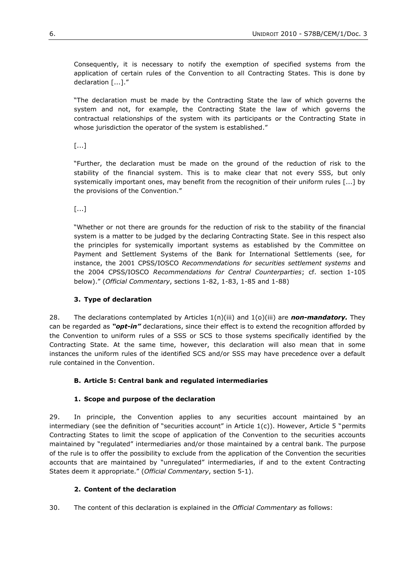Consequently, it is necessary to notify the exemption of specified systems from the application of certain rules of the Convention to all Contracting States. This is done by declaration [...]."

"The declaration must be made by the Contracting State the law of which governs the system and not, for example, the Contracting State the law of which governs the contractual relationships of the system with its participants or the Contracting State in whose jurisdiction the operator of the system is established."

[...]

"Further, the declaration must be made on the ground of the reduction of risk to the stability of the financial system. This is to make clear that not every SSS, but only systemically important ones, may benefit from the recognition of their uniform rules [...] by the provisions of the Convention."

[...]

"Whether or not there are grounds for the reduction of risk to the stability of the financial system is a matter to be judged by the declaring Contracting State. See in this respect also the principles for systemically important systems as established by the Committee on Payment and Settlement Systems of the Bank for International Settlements (see, for instance, the 2001 CPSS/IOSCO *Recommendations for securities settlement systems* and the 2004 CPSS/IOSCO *Recommendations for Central Counterparties*; cf. section 1-105 below)." (*Official Commentary*, sections 1-82, 1-83, 1-85 and 1-88)

## **3. Type of declaration**

28. The declarations contemplated by Articles  $1(n)(iii)$  and  $1(o)(iii)$  are **non-mandatory.** They can be regarded as *"opt-in"* declarations, since their effect is to extend the recognition afforded by the Convention to uniform rules of a SSS or SCS to those systems specifically identified by the Contracting State. At the same time, however, this declaration will also mean that in some instances the uniform rules of the identified SCS and/or SSS may have precedence over a default rule contained in the Convention.

## **B. Article 5: Central bank and regulated intermediaries**

#### **1. Scope and purpose of the declaration**

29. In principle, the Convention applies to any securities account maintained by an intermediary (see the definition of "securities account" in Article  $1(c)$ ). However, Article 5 "permits Contracting States to limit the scope of application of the Convention to the securities accounts maintained by "regulated" intermediaries and/or those maintained by a central bank. The purpose of the rule is to offer the possibility to exclude from the application of the Convention the securities accounts that are maintained by "unregulated" intermediaries, if and to the extent Contracting States deem it appropriate." (*Official Commentary*, section 5-1).

#### **2. Content of the declaration**

30. The content of this declaration is explained in the *Official Commentary* as follows: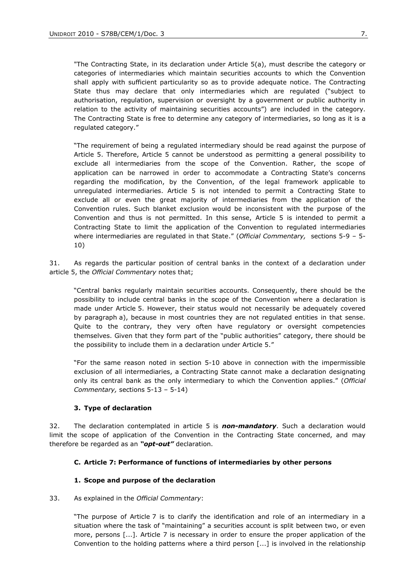"The Contracting State, in its declaration under Article 5(a), must describe the category or categories of intermediaries which maintain securities accounts to which the Convention shall apply with sufficient particularity so as to provide adequate notice. The Contracting State thus may declare that only intermediaries which are regulated ("subject to authorisation, regulation, supervision or oversight by a government or public authority in relation to the activity of maintaining securities accounts") are included in the category. The Contracting State is free to determine any category of intermediaries, so long as it is a regulated category."

"The requirement of being a regulated intermediary should be read against the purpose of Article 5. Therefore, Article 5 cannot be understood as permitting a general possibility to exclude all intermediaries from the scope of the Convention. Rather, the scope of application can be narrowed in order to accommodate a Contracting State's concerns regarding the modification, by the Convention, of the legal framework applicable to unregulated intermediaries. Article 5 is not intended to permit a Contracting State to exclude all or even the great majority of intermediaries from the application of the Convention rules. Such blanket exclusion would be inconsistent with the purpose of the Convention and thus is not permitted. In this sense, Article 5 is intended to permit a Contracting State to limit the application of the Convention to regulated intermediaries where intermediaries are regulated in that State." (*Official Commentary,* sections 5-9 – 5- 10)

31. As regards the particular position of central banks in the context of a declaration under article 5, the *Official Commentary* notes that;

"Central banks regularly maintain securities accounts. Consequently, there should be the possibility to include central banks in the scope of the Convention where a declaration is made under Article 5. However, their status would not necessarily be adequately covered by paragraph a), because in most countries they are not regulated entities in that sense. Quite to the contrary, they very often have regulatory or oversight competencies themselves. Given that they form part of the "public authorities" category, there should be the possibility to include them in a declaration under Article 5."

"For the same reason noted in section 5-10 above in connection with the impermissible exclusion of all intermediaries, a Contracting State cannot make a declaration designating only its central bank as the only intermediary to which the Convention applies." (*Official Commentary,* sections 5-13 – 5-14)

#### **3. Type of declaration**

32. The declaration contemplated in article 5 is *non-mandatory*. Such a declaration would limit the scope of application of the Convention in the Contracting State concerned, and may therefore be regarded as an *"opt-out"* declaration.

#### **C. Article 7: Performance of functions of intermediaries by other persons**

#### **1. Scope and purpose of the declaration**

#### 33. As explained in the *Official Commentary*:

"The purpose of Article 7 is to clarify the identification and role of an intermediary in a situation where the task of "maintaining" a securities account is split between two, or even more, persons [...]. Article 7 is necessary in order to ensure the proper application of the Convention to the holding patterns where a third person [...] is involved in the relationship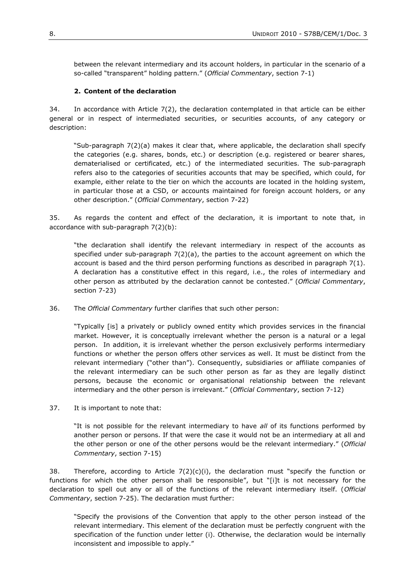between the relevant intermediary and its account holders, in particular in the scenario of a so-called "transparent" holding pattern." (*Official Commentary*, section 7-1)

#### **2. Content of the declaration**

34. In accordance with Article 7(2), the declaration contemplated in that article can be either general or in respect of intermediated securities, or securities accounts, of any category or description:

"Sub-paragraph 7(2)(a) makes it clear that, where applicable, the declaration shall specify the categories (e.g. shares, bonds, etc.) or description (e.g. registered or bearer shares, dematerialised or certificated, etc.) of the intermediated securities. The sub-paragraph refers also to the categories of securities accounts that may be specified, which could, for example, either relate to the tier on which the accounts are located in the holding system, in particular those at a CSD, or accounts maintained for foreign account holders, or any other description." (*Official Commentary*, section 7-22)

35. As regards the content and effect of the declaration, it is important to note that, in accordance with sub-paragraph 7(2)(b):

"the declaration shall identify the relevant intermediary in respect of the accounts as specified under sub-paragraph  $7(2)(a)$ , the parties to the account agreement on which the account is based and the third person performing functions as described in paragraph 7(1). A declaration has a constitutive effect in this regard, i.e., the roles of intermediary and other person as attributed by the declaration cannot be contested." (*Official Commentary*, section 7-23)

36. The *Official Commentary* further clarifies that such other person:

"Typically [is] a privately or publicly owned entity which provides services in the financial market. However, it is conceptually irrelevant whether the person is a natural or a legal person. In addition, it is irrelevant whether the person exclusively performs intermediary functions or whether the person offers other services as well. It must be distinct from the relevant intermediary ("other than"). Consequently, subsidiaries or affiliate companies of the relevant intermediary can be such other person as far as they are legally distinct persons, because the economic or organisational relationship between the relevant intermediary and the other person is irrelevant." (*Official Commentary*, section 7-12)

37. It is important to note that:

"It is not possible for the relevant intermediary to have *all* of its functions performed by another person or persons. If that were the case it would not be an intermediary at all and the other person or one of the other persons would be the relevant intermediary." (*Official Commentary*, section 7-15)

38. Therefore, according to Article  $7(2)(c)(i)$ , the declaration must "specify the function or functions for which the other person shall be responsible", but "[i]t is not necessary for the declaration to spell out any or all of the functions of the relevant intermediary itself. (*Official Commentary*, section 7-25). The declaration must further:

"Specify the provisions of the Convention that apply to the other person instead of the relevant intermediary. This element of the declaration must be perfectly congruent with the specification of the function under letter (i). Otherwise, the declaration would be internally inconsistent and impossible to apply."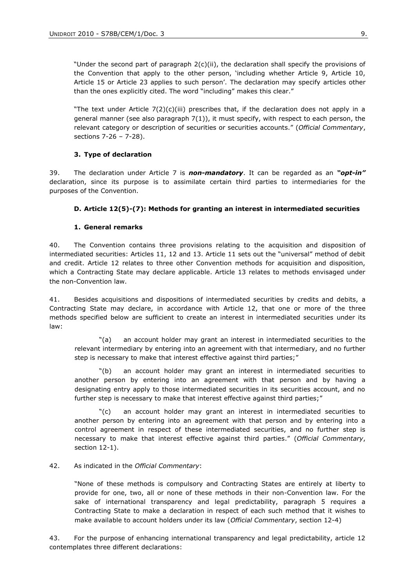"Under the second part of paragraph 2(c)(ii), the declaration shall specify the provisions of the Convention that apply to the other person, "including whether Article 9, Article 10, Article 15 or Article 23 applies to such person'. The declaration may specify articles other than the ones explicitly cited. The word "including" makes this clear."

"The text under Article  $7(2)(c)(iii)$  prescribes that, if the declaration does not apply in a general manner (see also paragraph  $7(1)$ ), it must specify, with respect to each person, the relevant category or description of securities or securities accounts." (*Official Commentary*, sections 7-26 – 7-28).

#### **3. Type of declaration**

39. The declaration under Article 7 is *non-mandatory*. It can be regarded as an *"opt-in"* declaration, since its purpose is to assimilate certain third parties to intermediaries for the purposes of the Convention.

#### **D. Article 12(5)-(7): Methods for granting an interest in intermediated securities**

#### **1. General remarks**

40. The Convention contains three provisions relating to the acquisition and disposition of intermediated securities: Articles 11, 12 and 13. Article 11 sets out the "universal" method of debit and credit. Article 12 relates to three other Convention methods for acquisition and disposition, which a Contracting State may declare applicable. Article 13 relates to methods envisaged under the non-Convention law.

41. Besides acquisitions and dispositions of intermediated securities by credits and debits, a Contracting State may declare, in accordance with Article 12, that one or more of the three methods specified below are sufficient to create an interest in intermediated securities under its law:

"(a) an account holder may grant an interest in intermediated securities to the relevant intermediary by entering into an agreement with that intermediary, and no further step is necessary to make that interest effective against third parties;"

"(b) an account holder may grant an interest in intermediated securities to another person by entering into an agreement with that person and by having a designating entry apply to those intermediated securities in its securities account, and no further step is necessary to make that interest effective against third parties;"

"(c) an account holder may grant an interest in intermediated securities to another person by entering into an agreement with that person and by entering into a control agreement in respect of these intermediated securities, and no further step is necessary to make that interest effective against third parties." (*Official Commentary*, section 12-1).

#### 42. As indicated in the *Official Commentary*:

"None of these methods is compulsory and Contracting States are entirely at liberty to provide for one, two, all or none of these methods in their non-Convention law. For the sake of international transparency and legal predictability, paragraph 5 requires a Contracting State to make a declaration in respect of each such method that it wishes to make available to account holders under its law (*Official Commentary*, section 12-4)

43. For the purpose of enhancing international transparency and legal predictability, article 12 contemplates three different declarations: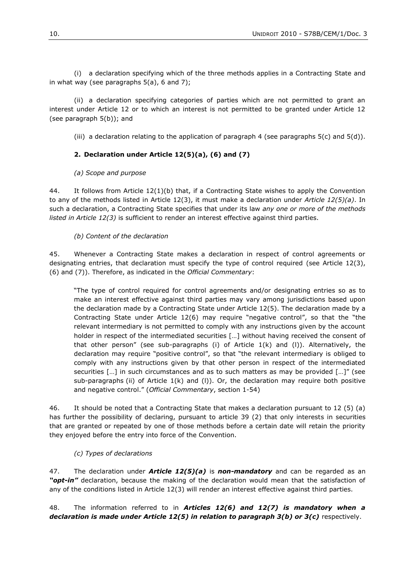(i) a declaration specifying which of the three methods applies in a Contracting State and in what way (see paragraphs 5(a), 6 and 7);

(ii) a declaration specifying categories of parties which are not permitted to grant an interest under Article 12 or to which an interest is not permitted to be granted under Article 12 (see paragraph 5(b)); and

(iii) a declaration relating to the application of paragraph 4 (see paragraphs  $5(c)$  and  $5(d)$ ).

### **2. Declaration under Article 12(5)(a), (6) and (7)**

#### *(a) Scope and purpose*

44. It follows from Article 12(1)(b) that, if a Contracting State wishes to apply the Convention to any of the methods listed in Article 12(3), it must make a declaration under *Article 12(5)(a)*. In such a declaration, a Contracting State specifies that under its law *any one or more of the methods listed in Article 12(3)* is sufficient to render an interest effective against third parties.

#### *(b) Content of the declaration*

45. Whenever a Contracting State makes a declaration in respect of control agreements or designating entries, that declaration must specify the type of control required (see Article 12(3), (6) and (7)). Therefore, as indicated in the *Official Commentary*:

"The type of control required for control agreements and/or designating entries so as to make an interest effective against third parties may vary among jurisdictions based upon the declaration made by a Contracting State under Article 12(5). The declaration made by a Contracting State under Article 12(6) may require "negative control", so that the "the relevant intermediary is not permitted to comply with any instructions given by the account holder in respect of the intermediated securities [...] without having received the consent of that other person" (see sub-paragraphs (i) of Article  $1(k)$  and (I)). Alternatively, the declaration may require "positive control", so that "the relevant intermediary is obliged to comply with any instructions given by that other person in respect of the intermediated securities […] in such circumstances and as to such matters as may be provided […]" (see sub-paragraphs (ii) of Article  $1(k)$  and (I)). Or, the declaration may require both positive and negative control." (*Official Commentary*, section 1-54)

46. It should be noted that a Contracting State that makes a declaration pursuant to 12 (5) (a) has further the possibility of declaring, pursuant to article 39 (2) that only interests in securities that are granted or repeated by one of those methods before a certain date will retain the priority they enjoyed before the entry into force of the Convention.

#### *(c) Types of declarations*

47. The declaration under *Article 12(5)(a)* is *non-mandatory* and can be regarded as an *"opt-in"* declaration, because the making of the declaration would mean that the satisfaction of any of the conditions listed in Article 12(3) will render an interest effective against third parties.

48. The information referred to in *Articles 12(6) and 12(7) is mandatory when a declaration is made under Article 12(5) in relation to paragraph 3(b) or 3(c)* respectively.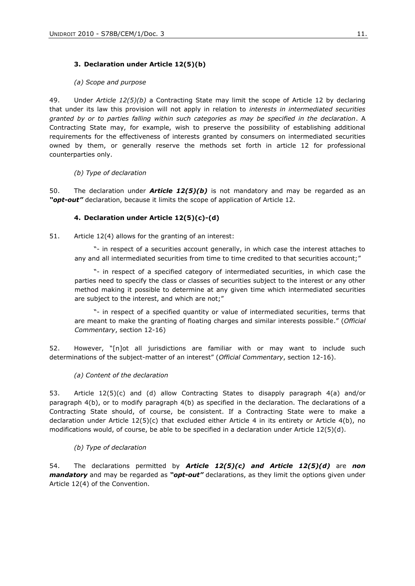### **3. Declaration under Article 12(5)(b)**

#### *(a) Scope and purpose*

49. Under *Article 12(5)(b)* a Contracting State may limit the scope of Article 12 by declaring that under its law this provision will not apply in relation to *interests in intermediated securities granted by or to parties falling within such categories as may be specified in the declaration*. A Contracting State may, for example, wish to preserve the possibility of establishing additional requirements for the effectiveness of interests granted by consumers on intermediated securities owned by them, or generally reserve the methods set forth in article 12 for professional counterparties only.

#### *(b) Type of declaration*

50. The declaration under *Article 12(5)(b)* is not mandatory and may be regarded as an *"opt-out"* declaration, because it limits the scope of application of Article 12.

#### **4. Declaration under Article 12(5)(c)-(d)**

51. Article 12(4) allows for the granting of an interest:

"- in respect of a securities account generally, in which case the interest attaches to any and all intermediated securities from time to time credited to that securities account;"

"- in respect of a specified category of intermediated securities, in which case the parties need to specify the class or classes of securities subject to the interest or any other method making it possible to determine at any given time which intermediated securities are subject to the interest, and which are not;"

"- in respect of a specified quantity or value of intermediated securities, terms that are meant to make the granting of floating charges and similar interests possible." (*Official Commentary*, section 12-16)

52. However, "[n]ot all jurisdictions are familiar with or may want to include such determinations of the subject-matter of an interest" (*Official Commentary*, section 12-16).

#### *(a) Content of the declaration*

53. Article 12(5)(c) and (d) allow Contracting States to disapply paragraph 4(a) and/or paragraph 4(b), or to modify paragraph 4(b) as specified in the declaration. The declarations of a Contracting State should, of course, be consistent. If a Contracting State were to make a declaration under Article 12(5)(c) that excluded either Article 4 in its entirety or Article 4(b), no modifications would, of course, be able to be specified in a declaration under Article 12(5)(d).

#### *(b) Type of declaration*

54. The declarations permitted by *Article 12(5)(c) and Article 12(5)(d)* are *non mandatory* and may be regarded as *"opt-out"* declarations, as they limit the options given under Article 12(4) of the Convention.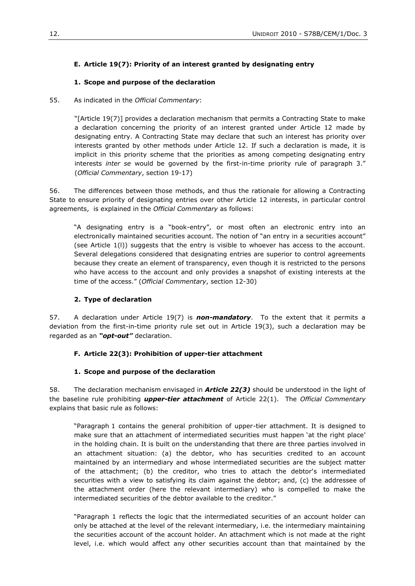### **E. Article 19(7): Priority of an interest granted by designating entry**

#### **1. Scope and purpose of the declaration**

#### 55. As indicated in the *Official Commentary*:

"[Article 19(7)] provides a declaration mechanism that permits a Contracting State to make a declaration concerning the priority of an interest granted under Article 12 made by designating entry. A Contracting State may declare that such an interest has priority over interests granted by other methods under Article 12. If such a declaration is made, it is implicit in this priority scheme that the priorities as among competing designating entry interests *inter se* would be governed by the first-in-time priority rule of paragraph 3." (*Official Commentary*, section 19-17)

56. The differences between those methods, and thus the rationale for allowing a Contracting State to ensure priority of designating entries over other Article 12 interests, in particular control agreements, is explained in the *Official Commentary* as follows:

"A designating entry is a "book-entry", or most often an electronic entry into an electronically maintained securities account. The notion of "an entry in a securities account" (see Article 1(l)) suggests that the entry is visible to whoever has access to the account. Several delegations considered that designating entries are superior to control agreements because they create an element of transparency, even though it is restricted to the persons who have access to the account and only provides a snapshot of existing interests at the time of the access." (*Official Commentary*, section 12-30)

#### **2. Type of declaration**

57. A declaration under Article 19(7) is *non-mandatory*. To the extent that it permits a deviation from the first-in-time priority rule set out in Article 19(3), such a declaration may be regarded as an *"opt-out"* declaration.

#### **F. Article 22(3): Prohibition of upper-tier attachment**

#### **1. Scope and purpose of the declaration**

58. The declaration mechanism envisaged in *Article 22(3)* should be understood in the light of the baseline rule prohibiting *upper-tier attachment* of Article 22(1). The *Official Commentary* explains that basic rule as follows:

"Paragraph 1 contains the general prohibition of upper-tier attachment. It is designed to make sure that an attachment of intermediated securities must happen 'at the right place' in the holding chain. It is built on the understanding that there are three parties involved in an attachment situation: (a) the debtor, who has securities credited to an account maintained by an intermediary and whose intermediated securities are the subject matter of the attachment; (b) the creditor, who tries to attach the debtor's intermediated securities with a view to satisfying its claim against the debtor; and, (c) the addressee of the attachment order (here the relevant intermediary) who is compelled to make the intermediated securities of the debtor available to the creditor."

"Paragraph 1 reflects the logic that the intermediated securities of an account holder can only be attached at the level of the relevant intermediary, i.e. the intermediary maintaining the securities account of the account holder. An attachment which is not made at the right level, i.e. which would affect any other securities account than that maintained by the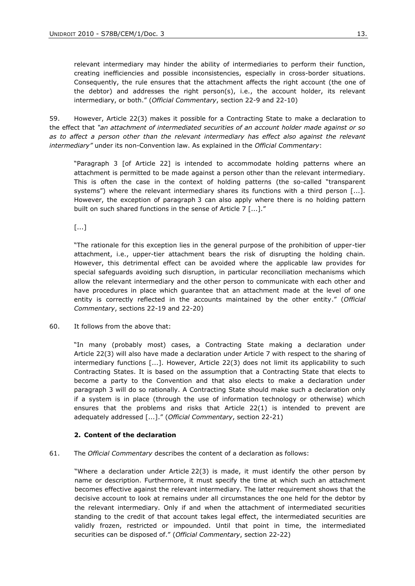relevant intermediary may hinder the ability of intermediaries to perform their function, creating inefficiencies and possible inconsistencies, especially in cross-border situations. Consequently, the rule ensures that the attachment affects the right account (the one of the debtor) and addresses the right person(s), i.e., the account holder, its relevant intermediary, or both." (*Official Commentary*, section 22-9 and 22-10)

59. However, Article 22(3) makes it possible for a Contracting State to make a declaration to the effect that *"an attachment of intermediated securities of an account holder made against or so*  as to affect a person other than the relevant intermediary has effect also against the relevant *intermediary"* under its non-Convention law. As explained in the *Official Commentary*:

"Paragraph 3 [of Article 22] is intended to accommodate holding patterns where an attachment is permitted to be made against a person other than the relevant intermediary. This is often the case in the context of holding patterns (the so-called "transparent systems") where the relevant intermediary shares its functions with a third person [...]. However, the exception of paragraph 3 can also apply where there is no holding pattern built on such shared functions in the sense of Article 7 [...]."

[...]

"The rationale for this exception lies in the general purpose of the prohibition of upper-tier attachment, i.e., upper-tier attachment bears the risk of disrupting the holding chain. However, this detrimental effect can be avoided where the applicable law provides for special safeguards avoiding such disruption, in particular reconciliation mechanisms which allow the relevant intermediary and the other person to communicate with each other and have procedures in place which guarantee that an attachment made at the level of one entity is correctly reflected in the accounts maintained by the other entity." (*Official Commentary*, sections 22-19 and 22-20)

60. It follows from the above that:

"In many (probably most) cases, a Contracting State making a declaration under Article 22(3) will also have made a declaration under Article 7 with respect to the sharing of intermediary functions [...]. However, Article 22(3) does not limit its applicability to such Contracting States. It is based on the assumption that a Contracting State that elects to become a party to the Convention and that also elects to make a declaration under paragraph 3 will do so rationally. A Contracting State should make such a declaration only if a system is in place (through the use of information technology or otherwise) which ensures that the problems and risks that Article 22(1) is intended to prevent are adequately addressed [...]." (*Official Commentary*, section 22-21)

#### **2. Content of the declaration**

61. The *Official Commentary* describes the content of a declaration as follows:

"Where a declaration under Article 22(3) is made, it must identify the other person by name or description. Furthermore, it must specify the time at which such an attachment becomes effective against the relevant intermediary. The latter requirement shows that the decisive account to look at remains under all circumstances the one held for the debtor by the relevant intermediary. Only if and when the attachment of intermediated securities standing to the credit of that account takes legal effect, the intermediated securities are validly frozen, restricted or impounded. Until that point in time, the intermediated securities can be disposed of." (*Official Commentary*, section 22-22)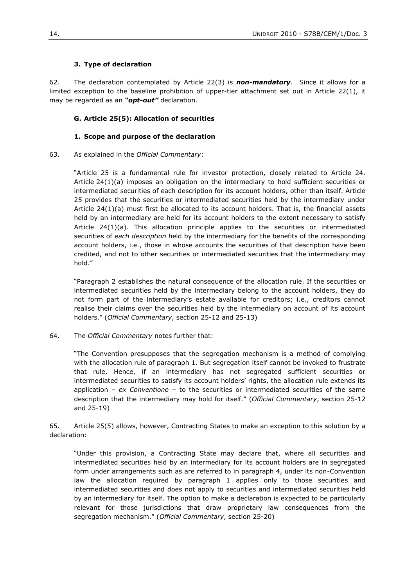#### **3. Type of declaration**

62. The declaration contemplated by Article 22(3) is *non-mandatory*. Since it allows for a limited exception to the baseline prohibition of upper-tier attachment set out in Article 22(1), it may be regarded as an *"opt-out"* declaration.

#### **G. Article 25(5): Allocation of securities**

#### **1. Scope and purpose of the declaration**

63. As explained in the *Official Commentary*:

"Article 25 is a fundamental rule for investor protection, closely related to Article 24. Article 24(1)(a) imposes an obligation on the intermediary to hold sufficient securities or intermediated securities of each description for its account holders, other than itself. Article 25 provides that the securities or intermediated securities held by the intermediary under Article 24(1)(a) must first be allocated to its account holders. That is, the financial assets held by an intermediary are held for its account holders to the extent necessary to satisfy Article 24(1)(a). This allocation principle applies to the securities or intermediated securities of *each description* held by the intermediary for the benefits of the corresponding account holders, i.e., those in whose accounts the securities of that description have been credited, and not to other securities or intermediated securities that the intermediary may hold."

"Paragraph 2 establishes the natural consequence of the allocation rule. If the securities or intermediated securities held by the intermediary belong to the account holders, they do not form part of the intermediary's estate available for creditors; i.e., creditors cannot realise their claims over the securities held by the intermediary on account of its account holders." (*Official Commentary*, section 25-12 and 25-13)

64. The *Official Commentary* notes further that:

"The Convention presupposes that the segregation mechanism is a method of complying with the allocation rule of paragraph 1. But segregation itself cannot be invoked to frustrate that rule. Hence, if an intermediary has not segregated sufficient securities or intermediated securities to satisfy its account holders' rights, the allocation rule extends its application – *ex Conventione* – to the securities or intermediated securities of the same description that the intermediary may hold for itself." (*Official Commentary*, section 25-12 and 25-19)

65. Article 25(5) allows, however, Contracting States to make an exception to this solution by a declaration:

"Under this provision, a Contracting State may declare that, where all securities and intermediated securities held by an intermediary for its account holders are in segregated form under arrangements such as are referred to in paragraph 4, under its non-Convention law the allocation required by paragraph 1 applies only to those securities and intermediated securities and does not apply to securities and intermediated securities held by an intermediary for itself. The option to make a declaration is expected to be particularly relevant for those jurisdictions that draw proprietary law consequences from the segregation mechanism." (*Official Commentary*, section 25-20)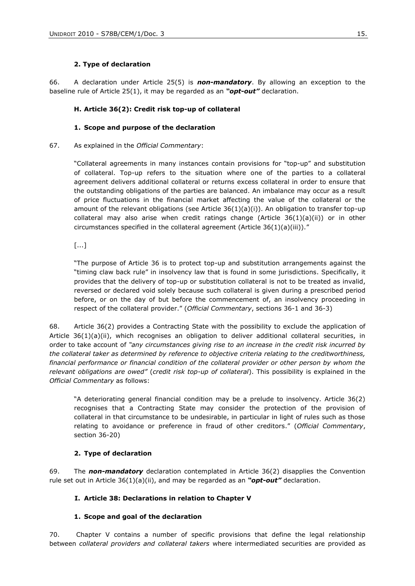#### **2. Type of declaration**

66. A declaration under Article 25(5) is *non-mandatory*. By allowing an exception to the baseline rule of Article 25(1), it may be regarded as an *"opt-out"* declaration.

#### **H. Article 36(2): Credit risk top-up of collateral**

#### **1. Scope and purpose of the declaration**

#### 67. As explained in the *Official Commentary*:

"Collateral agreements in many instances contain provisions for "top-up" and substitution of collateral. Top-up refers to the situation where one of the parties to a collateral agreement delivers additional collateral or returns excess collateral in order to ensure that the outstanding obligations of the parties are balanced. An imbalance may occur as a result of price fluctuations in the financial market affecting the value of the collateral or the amount of the relevant obligations (see Article  $36(1)(a)(i)$ ). An obligation to transfer top-up collateral may also arise when credit ratings change (Article  $36(1)(a)(ii)$ ) or in other circumstances specified in the collateral agreement (Article 36(1)(a)(iii))."

[...]

"The purpose of Article 36 is to protect top-up and substitution arrangements against the "timing claw back rule" in insolvency law that is found in some jurisdictions. Specifically, it provides that the delivery of top-up or substitution collateral is not to be treated as invalid, reversed or declared void solely because such collateral is given during a prescribed period before, or on the day of but before the commencement of, an insolvency proceeding in respect of the collateral provider." (*Official Commentary*, sections 36-1 and 36-3)

68. Article 36(2) provides a Contracting State with the possibility to exclude the application of Article 36(1)(a)(ii), which recognises an obligation to deliver additional collateral securities, in order to take account of *"any circumstances giving rise to an increase in the credit risk incurred by the collateral taker as determined by reference to objective criteria relating to the creditworthiness, financial performance or financial condition of the collateral provider or other person by whom the relevant obligations are owed"* (*credit risk top-up of collateral*). This possibility is explained in the *Official Commentary* as follows:

"A deteriorating general financial condition may be a prelude to insolvency. Article 36(2) recognises that a Contracting State may consider the protection of the provision of collateral in that circumstance to be undesirable, in particular in light of rules such as those relating to avoidance or preference in fraud of other creditors." (*Official Commentary*, section 36-20)

#### **2. Type of declaration**

69. The *non-mandatory* declaration contemplated in Article 36(2) disapplies the Convention rule set out in Article 36(1)(a)(ii), and may be regarded as an *"opt-out"* declaration.

#### **I. Article 38: Declarations in relation to Chapter V**

#### **1. Scope and goal of the declaration**

70. Chapter V contains a number of specific provisions that define the legal relationship between *collateral providers and collateral takers* where intermediated securities are provided as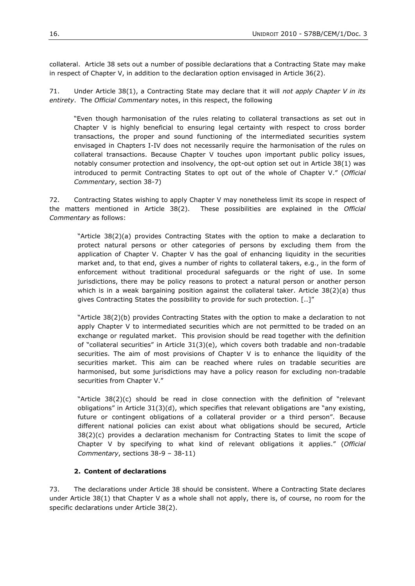collateral. Article 38 sets out a number of possible declarations that a Contracting State may make in respect of Chapter V, in addition to the declaration option envisaged in Article 36(2).

71. Under Article 38(1), a Contracting State may declare that it will *not apply Chapter V in its entirety*. The *Official Commentary* notes, in this respect, the following

"Even though harmonisation of the rules relating to collateral transactions as set out in Chapter V is highly beneficial to ensuring legal certainty with respect to cross border transactions, the proper and sound functioning of the intermediated securities system envisaged in Chapters I-IV does not necessarily require the harmonisation of the rules on collateral transactions. Because Chapter V touches upon important public policy issues, notably consumer protection and insolvency, the opt-out option set out in Article 38(1) was introduced to permit Contracting States to opt out of the whole of Chapter V." (*Official Commentary*, section 38-7)

72. Contracting States wishing to apply Chapter V may nonetheless limit its scope in respect of the matters mentioned in Article 38(2). These possibilities are explained in the *Official Commentary* as follows:

"Article 38(2)(a) provides Contracting States with the option to make a declaration to protect natural persons or other categories of persons by excluding them from the application of Chapter V. Chapter V has the goal of enhancing liquidity in the securities market and, to that end, gives a number of rights to collateral takers, e.g., in the form of enforcement without traditional procedural safeguards or the right of use. In some jurisdictions, there may be policy reasons to protect a natural person or another person which is in a weak bargaining position against the collateral taker. Article  $38(2)(a)$  thus gives Contracting States the possibility to provide for such protection. [..]"

"Article 38(2)(b) provides Contracting States with the option to make a declaration to not apply Chapter V to intermediated securities which are not permitted to be traded on an exchange or regulated market. This provision should be read together with the definition of "collateral securities" in Article 31(3)(e), which covers both tradable and non-tradable securities. The aim of most provisions of Chapter V is to enhance the liquidity of the securities market. This aim can be reached where rules on tradable securities are harmonised, but some jurisdictions may have a policy reason for excluding non-tradable securities from Chapter V."

"Article 38(2)(c) should be read in close connection with the definition of "relevant obligations" in Article 31(3)(d), which specifies that relevant obligations are "any existing, future or contingent obligations of a collateral provider or a third person". Because different national policies can exist about what obligations should be secured, Article 38(2)(c) provides a declaration mechanism for Contracting States to limit the scope of Chapter V by specifying to what kind of relevant obligations it applies." (*Official Commentary*, sections 38-9 – 38-11)

#### **2. Content of declarations**

73. The declarations under Article 38 should be consistent. Where a Contracting State declares under Article 38(1) that Chapter V as a whole shall not apply, there is, of course, no room for the specific declarations under Article 38(2).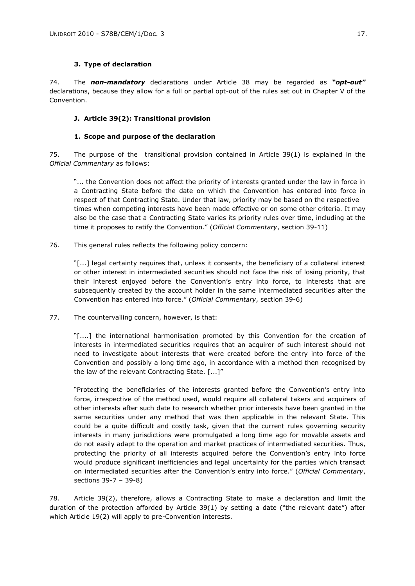#### **3. Type of declaration**

74. The *non-mandatory* declarations under Article 38 may be regarded as *"opt-out"* declarations, because they allow for a full or partial opt-out of the rules set out in Chapter V of the Convention.

### **J. Article 39(2): Transitional provision**

### **1. Scope and purpose of the declaration**

75. The purpose of the transitional provision contained in Article 39(1) is explained in the *Official Commentary* as follows:

"... the Convention does not affect the priority of interests granted under the law in force in a Contracting State before the date on which the Convention has entered into force in respect of that Contracting State. Under that law, priority may be based on the respective times when competing interests have been made effective or on some other criteria. It may also be the case that a Contracting State varies its priority rules over time, including at the time it proposes to ratify the Convention." (*Official Commentary*, section 39-11)

76. This general rules reflects the following policy concern:

"[...] legal certainty requires that, unless it consents, the beneficiary of a collateral interest or other interest in intermediated securities should not face the risk of losing priority, that their interest enjoyed before the Convention"s entry into force, to interests that are subsequently created by the account holder in the same intermediated securities after the Convention has entered into force." (*Official Commentary*, section 39-6)

77. The countervailing concern, however, is that:

"[....] the international harmonisation promoted by this Convention for the creation of interests in intermediated securities requires that an acquirer of such interest should not need to investigate about interests that were created before the entry into force of the Convention and possibly a long time ago, in accordance with a method then recognised by the law of the relevant Contracting State. [...]"

"Protecting the beneficiaries of the interests granted before the Convention"s entry into force, irrespective of the method used, would require all collateral takers and acquirers of other interests after such date to research whether prior interests have been granted in the same securities under any method that was then applicable in the relevant State. This could be a quite difficult and costly task, given that the current rules governing security interests in many jurisdictions were promulgated a long time ago for movable assets and do not easily adapt to the operation and market practices of intermediated securities. Thus, protecting the priority of all interests acquired before the Convention's entry into force would produce significant inefficiencies and legal uncertainty for the parties which transact on intermediated securities after the Convention"s entry into force." (*Official Commentary*, sections 39-7 – 39-8)

78. Article 39(2), therefore, allows a Contracting State to make a declaration and limit the duration of the protection afforded by Article  $39(1)$  by setting a date ("the relevant date") after which Article 19(2) will apply to pre-Convention interests.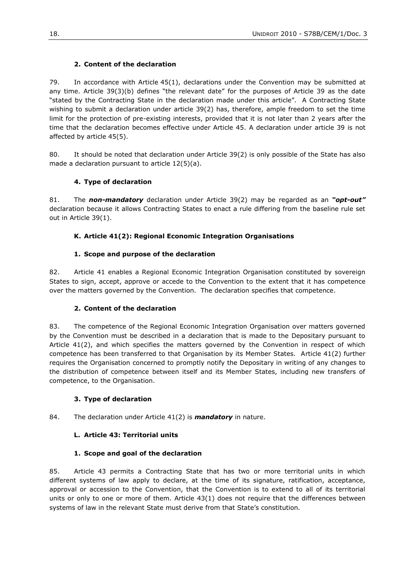## **2. Content of the declaration**

79. In accordance with Article 45(1), declarations under the Convention may be submitted at any time. Article 39(3)(b) defines "the relevant date" for the purposes of Article 39 as the date "stated by the Contracting State in the declaration made under this article". A Contracting State wishing to submit a declaration under article 39(2) has, therefore, ample freedom to set the time limit for the protection of pre-existing interests, provided that it is not later than 2 years after the time that the declaration becomes effective under Article 45. A declaration under article 39 is not affected by article 45(5).

80. It should be noted that declaration under Article 39(2) is only possible of the State has also made a declaration pursuant to article 12(5)(a).

## **4. Type of declaration**

81. The *non-mandatory* declaration under Article 39(2) may be regarded as an *"opt-out"* declaration because it allows Contracting States to enact a rule differing from the baseline rule set out in Article 39(1).

### **K. Article 41(2): Regional Economic Integration Organisations**

### **1. Scope and purpose of the declaration**

82. Article 41 enables a Regional Economic Integration Organisation constituted by sovereign States to sign, accept, approve or accede to the Convention to the extent that it has competence over the matters governed by the Convention. The declaration specifies that competence.

#### **2. Content of the declaration**

83. The competence of the Regional Economic Integration Organisation over matters governed by the Convention must be described in a declaration that is made to the Depositary pursuant to Article 41(2), and which specifies the matters governed by the Convention in respect of which competence has been transferred to that Organisation by its Member States. Article 41(2) further requires the Organisation concerned to promptly notify the Depositary in writing of any changes to the distribution of competence between itself and its Member States, including new transfers of competence, to the Organisation.

#### **3. Type of declaration**

84. The declaration under Article 41(2) is *mandatory* in nature.

#### **L. Article 43: Territorial units**

#### **1. Scope and goal of the declaration**

85. Article 43 permits a Contracting State that has two or more territorial units in which different systems of law apply to declare, at the time of its signature, ratification, acceptance, approval or accession to the Convention, that the Convention is to extend to all of its territorial units or only to one or more of them. Article 43(1) does not require that the differences between systems of law in the relevant State must derive from that State"s constitution.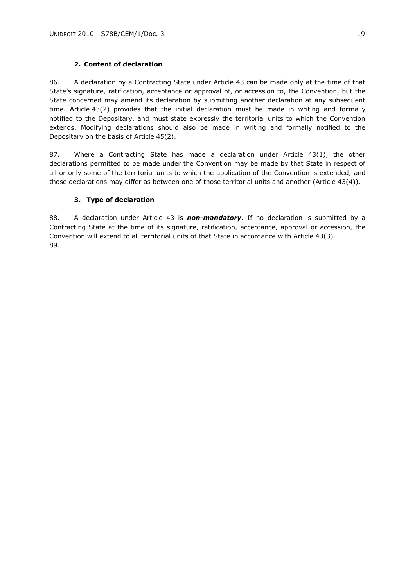### **2. Content of declaration**

86. A declaration by a Contracting State under Article 43 can be made only at the time of that State"s signature, ratification, acceptance or approval of, or accession to, the Convention, but the State concerned may amend its declaration by submitting another declaration at any subsequent time. Article 43(2) provides that the initial declaration must be made in writing and formally notified to the Depositary, and must state expressly the territorial units to which the Convention extends. Modifying declarations should also be made in writing and formally notified to the Depositary on the basis of Article 45(2).

87. Where a Contracting State has made a declaration under Article 43(1), the other declarations permitted to be made under the Convention may be made by that State in respect of all or only some of the territorial units to which the application of the Convention is extended, and those declarations may differ as between one of those territorial units and another (Article 43(4)).

### **3. Type of declaration**

88. A declaration under Article 43 is *non-mandatory*. If no declaration is submitted by a Contracting State at the time of its signature, ratification, acceptance, approval or accession, the Convention will extend to all territorial units of that State in accordance with Article 43(3). 89.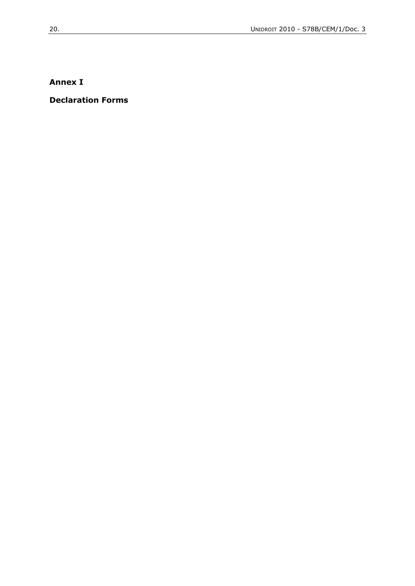# **Annex I**

## **Declaration Forms**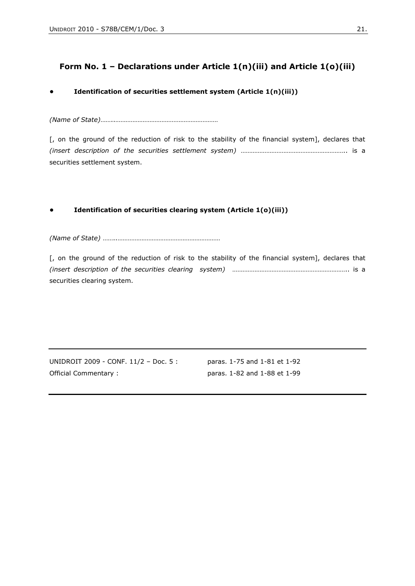# **Form No. 1 – Declarations under Article 1(n)(iii) and Article 1(o)(iii)**

### **• Identification of securities settlement system (Article 1(n)(iii))**

*(Name of State)*……..……………………………………………………

[, on the ground of the reduction of risk to the stability of the financial system], declares that *(insert description of the securities settlement system)* …………………………………………………….. is a securities settlement system.

### **• Identification of securities clearing system (Article 1(o)(iii))**

*(Name of State)* ……..……………………………………………………

[, on the ground of the reduction of risk to the stability of the financial system], declares that *(insert description of the securities clearing system)* ………………………………………………………….. is a securities clearing system.

UNIDROIT 2009 - CONF. 11/2 – Doc. 5 : paras. 1-75 and 1-81 et 1-92 Official Commentary : paras. 1-82 and 1-88 et 1-99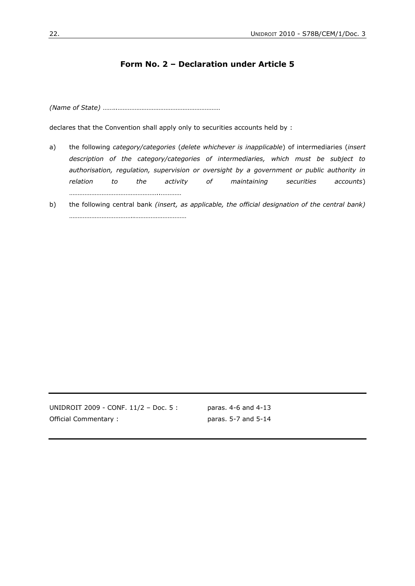## **Form No. 2 – Declaration under Article 5**

*(Name of State)* ……..……………………………………………………

……………………………………………..…………

declares that the Convention shall apply only to securities accounts held by :

- a) the following *category/categories* (*delete whichever is inapplicable*) of intermediaries (*insert description of the category/categories of intermediaries, which must be subject to authorisation, regulation, supervision or oversight by a government or public authority in relation to the activity of maintaining securities accounts*)
- b) the following central bank *(insert, as applicable, the official designation of the central bank)*  ………………………………..…………………………

UNIDROIT 2009 - CONF. 11/2 – Doc. 5 : paras. 4-6 and 4-13 Official Commentary : paras. 5-7 and 5-14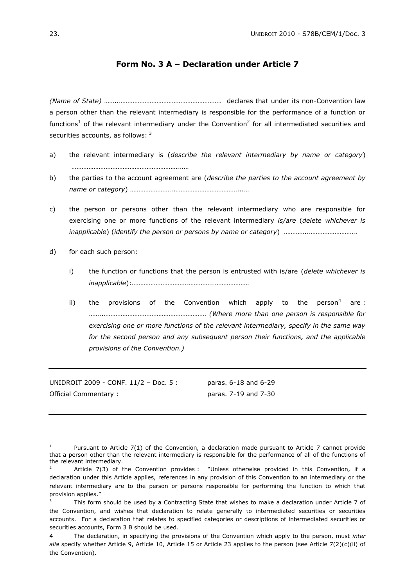## **Form No. 3 A – Declaration under Article 7**

*(Name of State)* ……..…………………………………………………… declares that under its non-Convention law a person other than the relevant intermediary is responsible for the performance of a function or functions<sup>1</sup> of the relevant intermediary under the Convention<sup>2</sup> for all intermediated securities and securities accounts, as follows: <sup>3</sup>

- a) the relevant intermediary is (*describe the relevant intermediary by name or category*) ………………………………………………………..…
- b) the parties to the account agreement are (*describe the parties to the account agreement by name or category*) ……………………..………………………………...…
- c) the person or persons other than the relevant intermediary who are responsible for exercising one or more functions of the relevant intermediary *is/are* (*delete whichever is inapplicable*) (*identify the person or persons by name or category*) *…………..……………………….*
- d) for each such person:
	- i) the function or functions that the person is entrusted with is/are (*delete whichever is inapplicable*):…………………………….………….…………………
	- ii) the provisions of the Convention which apply to the person<sup>4</sup> are : ……..…………………………………………………… *(Where more than one person is responsible for exercising one or more functions of the relevant intermediary, specify in the same way for the second person and any subsequent person their functions, and the applicable provisions of the Convention.)*

UNIDROIT 2009 - CONF. 11/2 – Doc. 5 : paras. 6-18 and 6-29 Official Commentary : paras. 7-19 and 7-30

<sup>&</sup>lt;sup>1</sup> Pursuant to Article 7(1) of the Convention, a declaration made pursuant to Article 7 cannot provide that a person other than the relevant intermediary is responsible for the performance of all of the functions of the relevant intermediary.

Article 7(3) of the Convention provides : "Unless otherwise provided in this Convention, if a declaration under this Article applies, references in any provision of this Convention to an intermediary or the relevant intermediary are to the person or persons responsible for performing the function to which that provision applies."

This form should be used by a Contracting State that wishes to make a declaration under Article 7 of the Convention, and wishes that declaration to relate generally to intermediated securities or securities accounts. For a declaration that relates to specified categories or descriptions of intermediated securities or securities accounts, Form 3 B should be used.

<sup>4</sup> The declaration, in specifying the provisions of the Convention which apply to the person, must *inter alia* specify whether Article 9, Article 10, Article 15 or Article 23 applies to the person (see Article 7(2)(c)(ii) of the Convention).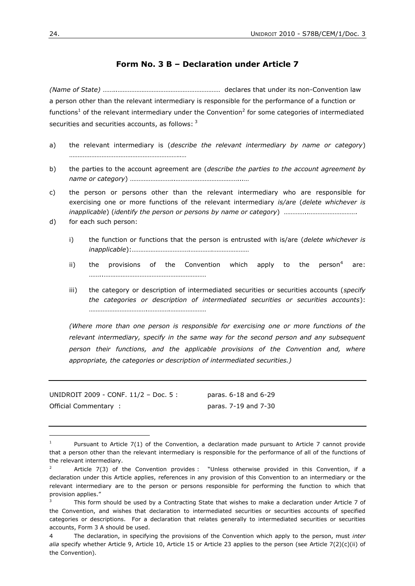# **Form No. 3 B – Declaration under Article 7**

*(Name of State)* ……..…………………………………………………… declares that under its non-Convention law a person other than the relevant intermediary is responsible for the performance of a function or functions<sup>1</sup> of the relevant intermediary under the Convention<sup>2</sup> for some categories of intermediated securities and securities accounts, as follows: <sup>3</sup>

- a) the relevant intermediary is (*describe the relevant intermediary by name or category*) ………………………………………………………..…
- b) the parties to the account agreement are (*describe the parties to the account agreement by name or category*) ……………………..………………………………...…
- c) the person or persons other than the relevant intermediary who are responsible for exercising one or more functions of the relevant intermediary *is/are* (*delete whichever is inapplicable*) (*identify the person or persons by name or category*) *…………..……………………….*
- d) for each such person:
	- i) the function or functions that the person is entrusted with is/are (*delete whichever is inapplicable*):…………………………….………….…………………
	- ii) the provisions of the Convention which apply to the person<sup>4</sup> are: ……..……………………………………………………
	- iii) the category or description of intermediated securities or securities accounts (*specify the categories or description of intermediated securities or securities accounts*): …………………………….………….…………………

*(Where more than one person is responsible for exercising one or more functions of the relevant intermediary, specify in the same way for the second person and any subsequent person their functions, and the applicable provisions of the Convention and, where appropriate, the categories or description of intermediated securities.)*

UNIDROIT 2009 - CONF. 11/2 – Doc. 5 : paras. 6-18 and 6-29 Official Commentary : paras. 7-19 and 7-30

Pursuant to Article 7(1) of the Convention, a declaration made pursuant to Article 7 cannot provide that a person other than the relevant intermediary is responsible for the performance of all of the functions of the relevant intermediary.

Article 7(3) of the Convention provides : "Unless otherwise provided in this Convention, if a declaration under this Article applies, references in any provision of this Convention to an intermediary or the relevant intermediary are to the person or persons responsible for performing the function to which that provision applies."

This form should be used by a Contracting State that wishes to make a declaration under Article 7 of the Convention, and wishes that declaration to intermediated securities or securities accounts of specified categories or descriptions. For a declaration that relates generally to intermediated securities or securities accounts, Form 3 A should be used.

<sup>4</sup> The declaration, in specifying the provisions of the Convention which apply to the person, must *inter alia* specify whether Article 9, Article 10, Article 15 or Article 23 applies to the person (see Article 7(2)(c)(ii) of the Convention).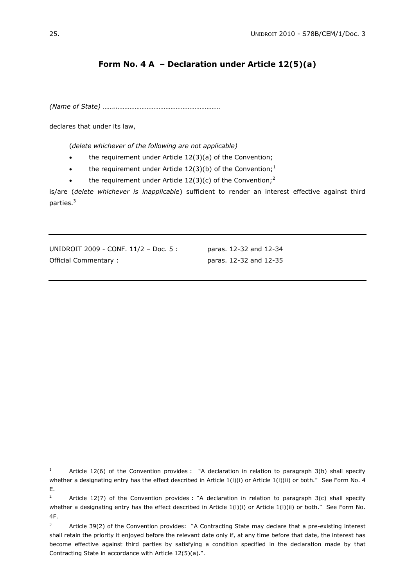# **Form No. 4 A – Declaration under Article 12(5)(a)**

*(Name of State)* ……..……………………………………………………

declares that under its law,

(*delete whichever of the following are not applicable)*

- the requirement under Article 12(3)(a) of the Convention;
- the requirement under Article 12(3)(b) of the Convention;<sup>1</sup>
- the requirement under Article  $12(3)(c)$  of the Convention;<sup>2</sup>

is/are (*delete whichever is inapplicable*) sufficient to render an interest effective against third parties.<sup>3</sup>

UNIDROIT 2009 - CONF. 11/2 – Doc. 5 : paras. 12-32 and 12-34 Official Commentary : paras. 12-32 and 12-35

<sup>&</sup>lt;sup>1</sup> Article 12(6) of the Convention provides : "A declaration in relation to paragraph 3(b) shall specify whether a designating entry has the effect described in Article 1(l)(i) or Article 1(i)(ii) or both." See Form No. 4 E.

<sup>&</sup>lt;sup>2</sup> Article 12(7) of the Convention provides : "A declaration in relation to paragraph 3(c) shall specify whether a designating entry has the effect described in Article 1(l)(i) or Article 1(l)(ii) or both." See Form No. 4F.

<sup>&</sup>lt;sup>3</sup> Article 39(2) of the Convention provides: "A Contracting State may declare that a pre-existing interest shall retain the priority it enjoyed before the relevant date only if, at any time before that date, the interest has become effective against third parties by satisfying a condition specified in the declaration made by that Contracting State in accordance with Article 12(5)(a).".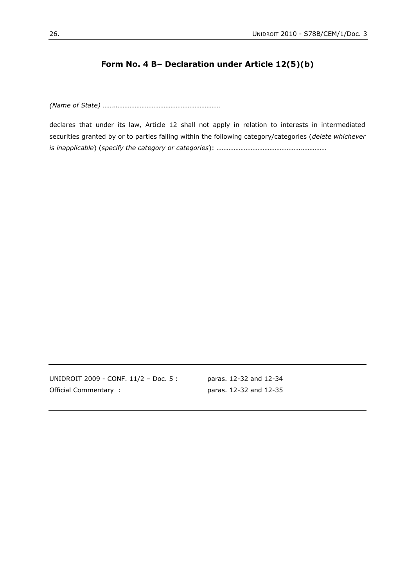# **Form No. 4 B– Declaration under Article 12(5)(b)**

*(Name of State)* ……..……………………………………………………

declares that under its law, Article 12 shall not apply in relation to interests in intermediated securities granted by or to parties falling within the following category/categories (*delete whichever is inapplicable*) (*specify the category or categories*): ………………………………………….……………

UNIDROIT 2009 - CONF. 11/2 – Doc. 5 : paras. 12-32 and 12-34 Official Commentary : paras. 12-32 and 12-35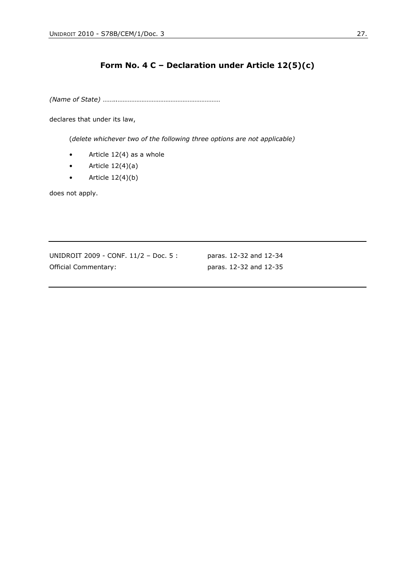# **Form No. 4 C – Declaration under Article 12(5)(c)**

*(Name of State)* ……..……………………………………………………

declares that under its law,

(*delete whichever two of the following three options are not applicable)*

- Article 12(4) as a whole
- Article  $12(4)(a)$
- Article  $12(4)(b)$

does not apply.

UNIDROIT 2009 - CONF. 11/2 – Doc. 5 : paras. 12-32 and 12-34 Official Commentary: paras. 12-32 and 12-35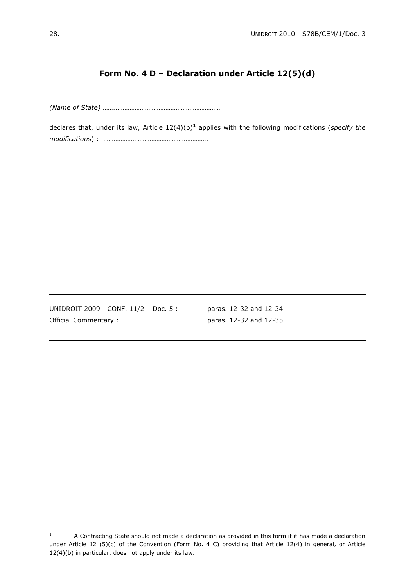# **Form No. 4 D – Declaration under Article 12(5)(d)**

*(Name of State)* ……..……………………………………………………

declares that, under its law, Article 12(4)(b)**<sup>1</sup>** applies with the following modifications (*specify the modifications*) : …………………………………………………….

UNIDROIT 2009 - CONF. 11/2 – Doc. 5 : paras. 12-32 and 12-34 Official Commentary : paras. 12-32 and 12-35

 $1$  A Contracting State should not made a declaration as provided in this form if it has made a declaration under Article 12 (5)(c) of the Convention (Form No. 4 C) providing that Article 12(4) in general, or Article 12(4)(b) in particular, does not apply under its law.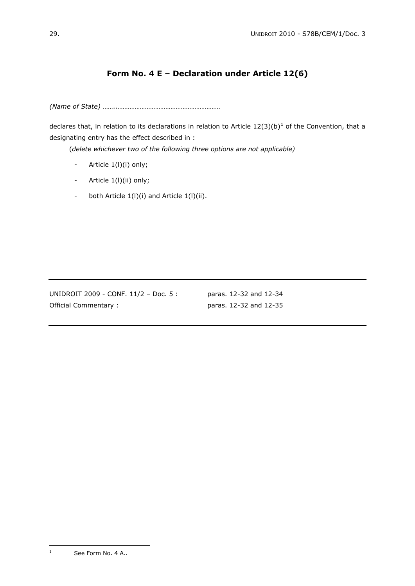# **Form No. 4 E – Declaration under Article 12(6)**

*(Name of State)* ……..……………………………………………………

declares that, in relation to its declarations in relation to Article  $12(3)(b)^1$  of the Convention, that a designating entry has the effect described in :

(*delete whichever two of the following three options are not applicable)*

- Article 1(I)(i) only;
- Article 1(I)(ii) only;
- both Article 1(l)(i) and Article 1(l)(ii).

UNIDROIT 2009 - CONF. 11/2 – Doc. 5 : paras. 12-32 and 12-34 Official Commentary : paras. 12-32 and 12-35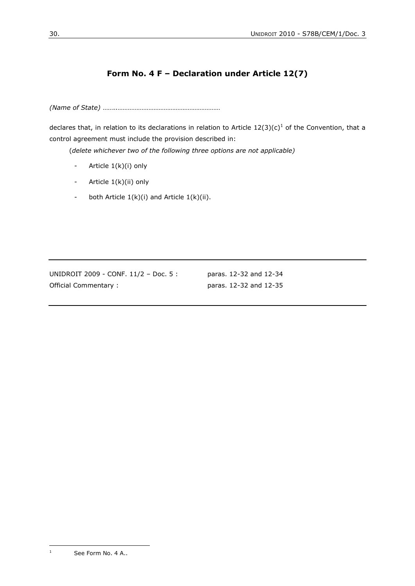# **Form No. 4 F – Declaration under Article 12(7)**

*(Name of State)* ……..……………………………………………………

declares that, in relation to its declarations in relation to Article  $12(3)(c)^{1}$  of the Convention, that a control agreement must include the provision described in:

(*delete whichever two of the following three options are not applicable)*

- Article 1(k)(i) only
- Article 1(k)(ii) only
- both Article  $1(k)(i)$  and Article  $1(k)(ii)$ .

UNIDROIT 2009 - CONF. 11/2 – Doc. 5 : paras. 12-32 and 12-34 Official Commentary : paras. 12-32 and 12-35

 $\mathbf 1$ See Form No. 4 A..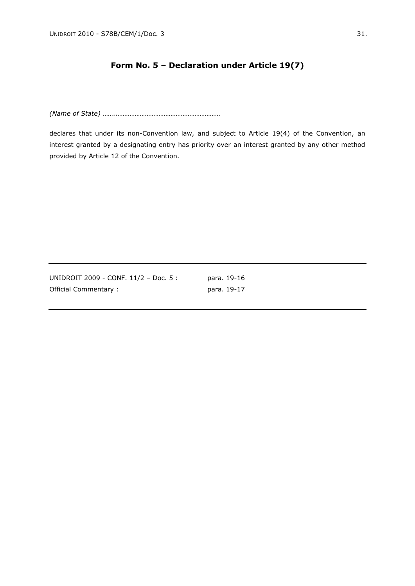# **Form No. 5 – Declaration under Article 19(7)**

*(Name of State)* ……..……………………………………………………

declares that under its non-Convention law, and subject to Article 19(4) of the Convention, an interest granted by a designating entry has priority over an interest granted by any other method provided by Article 12 of the Convention.

| UNIDROIT 2009 - CONF. 11/2 - Doc. 5 : | para. 19-16 |
|---------------------------------------|-------------|
| Official Commentary:                  | para. 19-17 |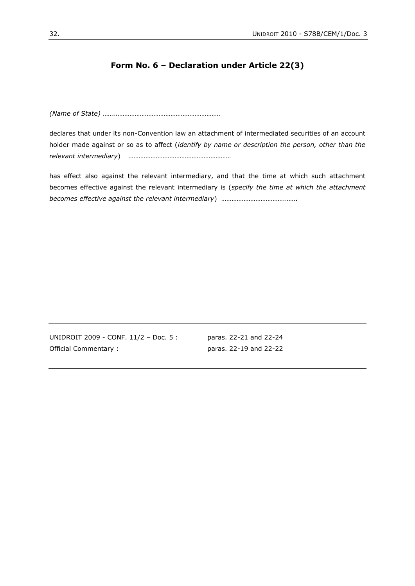## **Form No. 6 – Declaration under Article 22(3)**

*(Name of State)* ……..……………………………………………………

declares that under its non-Convention law an attachment of intermediated securities of an account holder made against or so as to affect (*identify by name or description the person, other than the relevant intermediary*) ……………………………………………………

has effect also against the relevant intermediary, and that the time at which such attachment becomes effective against the relevant intermediary is (*specify the time at which the attachment becomes effective against the relevant intermediary*) ……………………………….…….

UNIDROIT 2009 - CONF. 11/2 – Doc. 5 : paras. 22-21 and 22-24 Official Commentary : paras. 22-19 and 22-22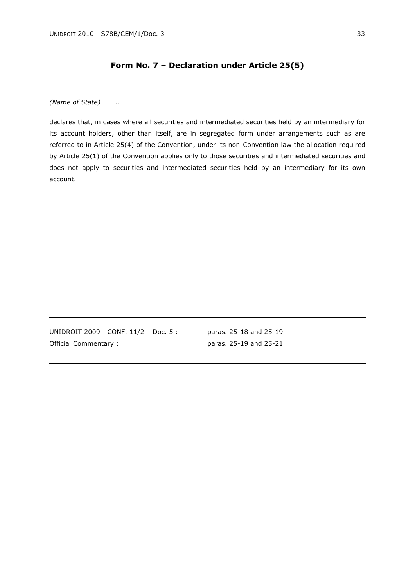## **Form No. 7 – Declaration under Article 25(5)**

*(Name of State)* ……..……………………………………………………

declares that, in cases where all securities and intermediated securities held by an intermediary for its account holders, other than itself, are in segregated form under arrangements such as are referred to in Article 25(4) of the Convention, under its non-Convention law the allocation required by Article 25(1) of the Convention applies only to those securities and intermediated securities and does not apply to securities and intermediated securities held by an intermediary for its own account.

UNIDROIT 2009 - CONF. 11/2 - Doc. 5: paras. 25-18 and 25-19 Official Commentary : paras. 25-19 and 25-21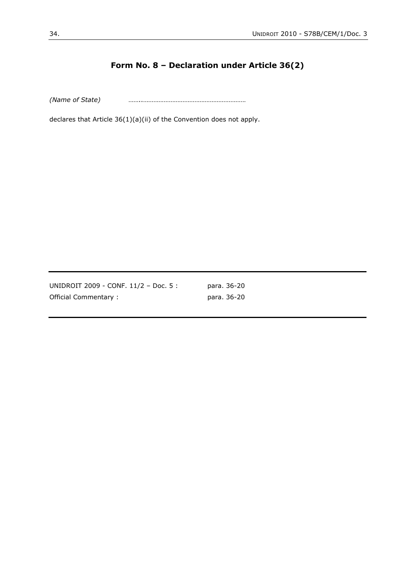# **Form No. 8 – Declaration under Article 36(2)**

*(Name of State)* ……..……………………………………………………

declares that Article 36(1)(a)(ii) of the Convention does not apply.

UNIDROIT 2009 - CONF. 11/2 – Doc. 5 : para. 36-20 Official Commentary : para. 36-20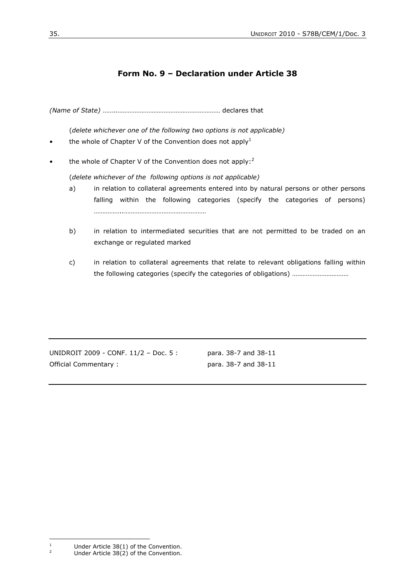# **Form No. 9 – Declaration under Article 38**

*(Name of State)* ……..…………………………………………………… declares that

(*delete whichever one of the following two options is not applicable)*

- the whole of Chapter V of the Convention does not apply<sup>1</sup>
- the whole of Chapter V of the Convention does not apply:<sup>2</sup>

(*delete whichever of the following options is not applicable)*

- a) in relation to collateral agreements entered into by natural persons or other persons falling within the following categories (specify the categories of persons) ……………..…………………………………………
- b) in relation to intermediated securities that are not permitted to be traded on an exchange or regulated marked
- c) in relation to collateral agreements that relate to relevant obligations falling within the following categories (specify the categories of obligations) ……………………………

UNIDROIT 2009 - CONF. 11/2 - Doc. 5: para. 38-7 and 38-11 Official Commentary : para. 38-7 and 38-11

 $\,1\,$ <sup>1</sup> Under Article 38(1) of the Convention.<br><sup>2</sup> Under Article 38(2) of the Convention.

Under Article  $38(2)$  of the Convention.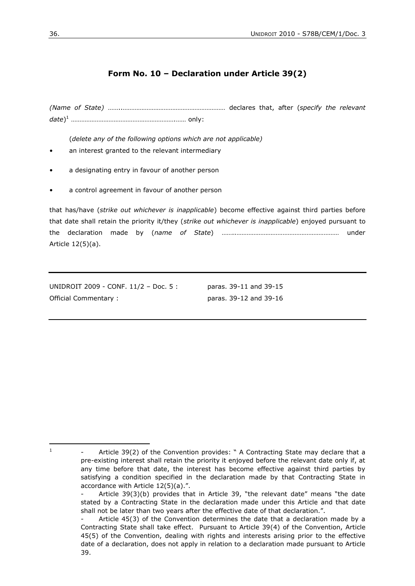# **Form No. 10 – Declaration under Article 39(2)**

*(Name of State)* ……..…………………………………………………… declares that, after (*specify the relevant date*) <sup>1</sup> …………………………………………………….…… only:

(*delete any of the following options which are not applicable)*

- an interest granted to the relevant intermediary
- a designating entry in favour of another person
- a control agreement in favour of another person

that has/have (*strike out whichever is inapplicable*) become effective against third parties before that date shall retain the priority it/they (*strike out whichever is inapplicable*) enjoyed pursuant to the declaration made by (*name of State*) ……..…………………………………………………… under Article 12(5)(a).

UNIDROIT 2009 - CONF. 11/2 – Doc. 5 : paras. 39-11 and 39-15 Official Commentary : paras. 39-12 and 39-16

 $\frac{1}{1}$ 

Article 39(2) of the Convention provides: " A Contracting State may declare that a pre-existing interest shall retain the priority it enjoyed before the relevant date only if, at any time before that date, the interest has become effective against third parties by satisfying a condition specified in the declaration made by that Contracting State in accordance with Article 12(5)(a).".

<sup>-</sup> Article 39(3)(b) provides that in Article 39, "the relevant date" means "the date stated by a Contracting State in the declaration made under this Article and that date shall not be later than two years after the effective date of that declaration.".

Article 45(3) of the Convention determines the date that a declaration made by a Contracting State shall take effect. Pursuant to Article 39(4) of the Convention, Article 45(5) of the Convention, dealing with rights and interests arising prior to the effective date of a declaration, does not apply in relation to a declaration made pursuant to Article 39.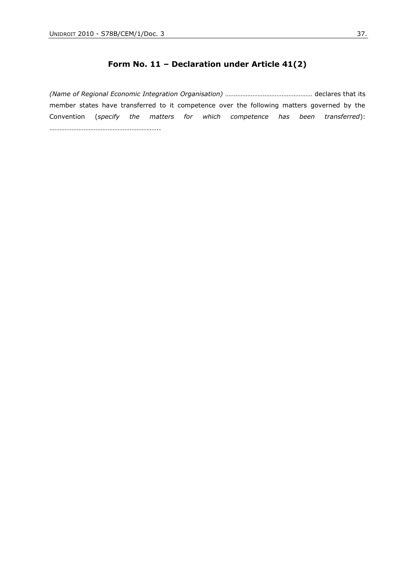# **Form No. 11 – Declaration under Article 41(2)**

*(Name of Regional Economic Integration Organisation)* …………………………………………… declares that its member states have transferred to it competence over the following matters governed by the Convention (*specify the matters for which competence has been transferred*): …………………………………………………..…..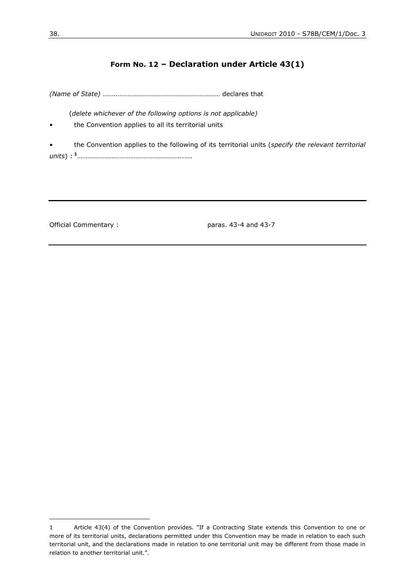# **Form No. 12 – Declaration under Article 43(1)**

*(Name of State)* ……..…………………………………………………… declares that

(*delete whichever of the following options is not applicable)*

- the Convention applies to all its territorial units
- the Convention applies to the following of its territorial units (*specify the relevant territorial units*) : **<sup>1</sup>**……………………………………………………….…

 $\overline{a}$ 

Official Commentary : paras. 43-4 and 43-7

<sup>1</sup> Article 43(4) of the Convention provides. "If a Contracting State extends this Convention to one or more of its territorial units, declarations permitted under this Convention may be made in relation to each such territorial unit, and the declarations made in relation to one territorial unit may be different from those made in relation to another territorial unit.".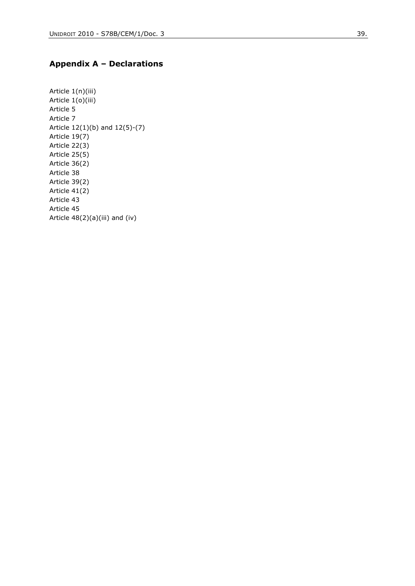### **Appendix A – Declarations**

Article 1(n)(iii) Article 1(o)(iii) Article 5 Article 7 Article 12(1)(b) and 12(5) -(7) Article 19(7) Article 22(3) Article 25(5) Article 36(2) Article 38 Article 39(2) Article 41(2) Article 43 Article 45 Article 48(2)(a)(iii) and (iv)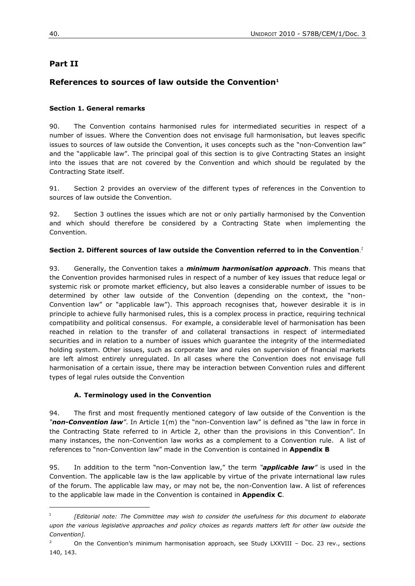# **Part II**

# **References to sources of law outside the Convention<sup>1</sup>**

### **Section 1. General remarks**

90. The Convention contains harmonised rules for intermediated securities in respect of a number of issues. Where the Convention does not envisage full harmonisation, but leaves specific issues to sources of law outside the Convention, it uses concepts such as the "non-Convention law" and the "applicable law". The principal goal of this section is to give Contracting States an insight into the issues that are not covered by the Convention and which should be regulated by the Contracting State itself.

91. Section 2 provides an overview of the different types of references in the Convention to sources of law outside the Convention.

92. Section 3 outlines the issues which are not or only partially harmonised by the Convention and which should therefore be considered by a Contracting State when implementing the Convention.

#### **Section 2. Different sources of law outside the Convention referred to in the Convention**. 2

93. Generally, the Convention takes a *minimum harmonisation approach*. This means that the Convention provides harmonised rules in respect of a number of key issues that reduce legal or systemic risk or promote market efficiency, but also leaves a considerable number of issues to be determined by other law outside of the Convention (depending on the context, the "non-Convention law" or "applicable law"). This approach recognises that, however desirable it is in principle to achieve fully harmonised rules, this is a complex process in practice, requiring technical compatibility and political consensus. For example, a considerable level of harmonisation has been reached in relation to the transfer of and collateral transactions in respect of intermediated securities and in relation to a number of issues which guarantee the integrity of the intermediated holding system. Other issues, such as corporate law and rules on supervision of financial markets are left almost entirely unregulated. In all cases where the Convention does not envisage full harmonisation of a certain issue, there may be interaction between Convention rules and different types of legal rules outside the Convention

#### **A. Terminology used in the Convention**

94. The first and most frequently mentioned category of law outside of the Convention is the *"non-Convention law"*. In Article 1(m) the "non-Convention law" is defined as "the law in force in the Contracting State referred to in Article 2, other than the provisions in this Convention". In many instances, the non-Convention law works as a complement to a Convention rule. A list of references to "non-Convention law" made in the Convention is contained in **Appendix B**

95. In addition to the term "non-Convention law," the term *"applicable law"* is used in the Convention. The applicable law is the law applicable by virtue of the private international law rules of the forum. The applicable law may, or may not be, the non-Convention law. A list of references to the applicable law made in the Convention is contained in **Appendix C**.

<sup>1</sup> *[Editorial note: The Committee may wish to consider the usefulness for this document to elaborate upon the various legislative approaches and policy choices as regards matters left for other law outside the Convention].*

<sup>&</sup>lt;sup>2</sup> On the Convention's minimum harmonisation approach, see Study LXXVIII - Doc. 23 rev., sections 140, 143.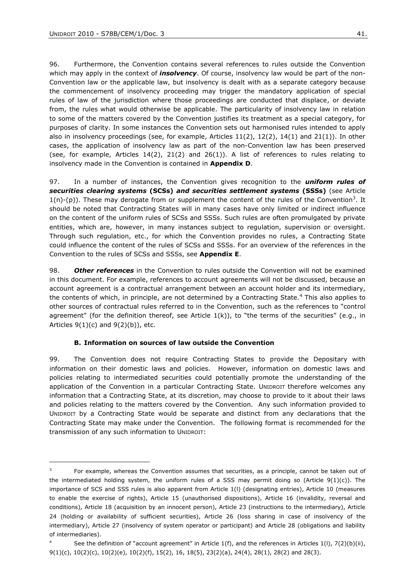$\overline{a}$ 

96. Furthermore, the Convention contains several references to rules outside the Convention which may apply in the context of *insolvency*. Of course, insolvency law would be part of the non-Convention law or the applicable law, but insolvency is dealt with as a separate category because the commencement of insolvency proceeding may trigger the mandatory application of special rules of law of the jurisdiction where those proceedings are conducted that displace, or deviate from, the rules what would otherwise be applicable. The particularity of insolvency law in relation to some of the matters covered by the Convention justifies its treatment as a special category, for purposes of clarity. In some instances the Convention sets out harmonised rules intended to apply also in insolvency proceedings (see, for example, Articles  $11(2)$ ,  $12(2)$ ,  $14(1)$  and  $21(1)$ ). In other cases, the application of insolvency law as part of the non-Convention law has been preserved (see, for example, Articles 14(2), 21(2) and 26(1)). A list of references to rules relating to insolvency made in the Convention is contained in **Appendix D**.

97. In a number of instances, the Convention gives recognition to the *uniform rules of securities clearing systems* **(SCSs)** *and securities settlement systems* **(SSSs)** (see Article  $1(n)-(p)$ ). These may derogate from or supplement the content of the rules of the Convention<sup>3</sup>. It should be noted that Contracting States will in many cases have only limited or indirect influence on the content of the uniform rules of SCSs and SSSs. Such rules are often promulgated by private entities, which are, however, in many instances subject to regulation, supervision or oversight. Through such regulation, etc., for which the Convention provides no rules, a Contracting State could influence the content of the rules of SCSs and SSSs. For an overview of the references in the Convention to the rules of SCSs and SSSs, see **Appendix E**.

98. *Other references* in the Convention to rules outside the Convention will not be examined in this document. For example, references to account agreements will not be discussed, because an account agreement is a contractual arrangement between an account holder and its intermediary, the contents of which, in principle, are not determined by a Contracting State.<sup>4</sup> This also applies to other sources of contractual rules referred to in the Convention, such as the references to "control agreement" (for the definition thereof, see Article  $1(k)$ ), to "the terms of the securities" (e.g., in Articles  $9(1)(c)$  and  $9(2)(b)$ , etc.

#### **B. Information on sources of law outside the Convention**

99. The Convention does not require Contracting States to provide the Depositary with information on their domestic laws and policies. However, information on domestic laws and policies relating to intermediated securities could potentially promote the understanding of the application of the Convention in a particular Contracting State. UNIDROIT therefore welcomes any information that a Contracting State, at its discretion, may choose to provide to it about their laws and policies relating to the matters covered by the Convention. Any such information provided to UNIDROIT by a Contracting State would be separate and distinct from any declarations that the Contracting State may make under the Convention. The following format is recommended for the transmission of any such information to UNIDROIT:

<sup>3</sup> For example, whereas the Convention assumes that securities, as a principle, cannot be taken out of the intermediated holding system, the uniform rules of a SSS may permit doing so (Article  $9(1)(c)$ ). The importance of SCS and SSS rules is also apparent from Article 1(l) (designating entries), Article 10 (measures to enable the exercise of rights), Article 15 (unauthorised dispositions), Article 16 (invalidity, reversal and conditions), Article 18 (acquisition by an innocent person), Article 23 (instructions to the intermediary), Article 24 (holding or availability of sufficient securities), Article 26 (loss sharing in case of insolvency of the intermediary), Article 27 (insolvency of system operator or participant) and Article 28 (obligations and liability of intermediaries).

See the definition of "account agreement" in Article 1(f), and the references in Articles 1(l), 7(2)(b)(ii), 9(1)(c), 10(2)(c), 10(2)(e), 10(2)(f), 15(2), 16, 18(5), 23(2)(a), 24(4), 28(1), 28(2) and 28(3).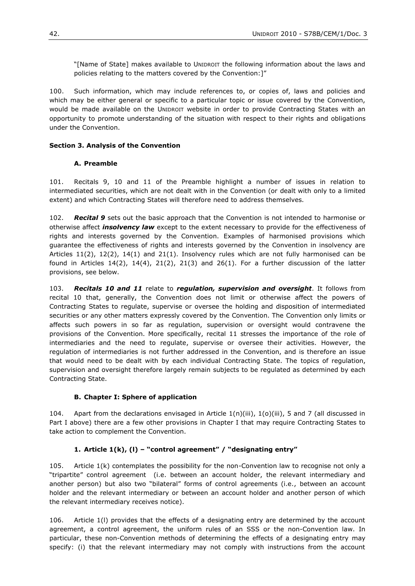"[Name of State] makes available to UNIDROIT the following information about the laws and policies relating to the matters covered by the Convention:]"

100. Such information, which may include references to, or copies of, laws and policies and which may be either general or specific to a particular topic or issue covered by the Convention, would be made available on the UNIDROIT website in order to provide Contracting States with an opportunity to promote understanding of the situation with respect to their rights and obligations under the Convention.

### **Section 3. Analysis of the Convention**

### **A. Preamble**

101. Recitals 9, 10 and 11 of the Preamble highlight a number of issues in relation to intermediated securities, which are not dealt with in the Convention (or dealt with only to a limited extent) and which Contracting States will therefore need to address themselves.

102. *Recital 9* sets out the basic approach that the Convention is not intended to harmonise or otherwise affect *insolvency law* except to the extent necessary to provide for the effectiveness of rights and interests governed by the Convention. Examples of harmonised provisions which guarantee the effectiveness of rights and interests governed by the Convention in insolvency are Articles 11(2), 12(2), 14(1) and 21(1). Insolvency rules which are not fully harmonised can be found in Articles  $14(2)$ ,  $14(4)$ ,  $21(2)$ ,  $21(3)$  and  $26(1)$ . For a further discussion of the latter provisions, see below.

103. *Recitals 10 and 11* relate to *regulation, supervision and oversight*. It follows from recital 10 that, generally, the Convention does not limit or otherwise affect the powers of Contracting States to regulate, supervise or oversee the holding and disposition of intermediated securities or any other matters expressly covered by the Convention. The Convention only limits or affects such powers in so far as regulation, supervision or oversight would contravene the provisions of the Convention. More specifically, recital 11 stresses the importance of the role of intermediaries and the need to regulate, supervise or oversee their activities. However, the regulation of intermediaries is not further addressed in the Convention, and is therefore an issue that would need to be dealt with by each individual Contracting State. The topics of regulation, supervision and oversight therefore largely remain subjects to be regulated as determined by each Contracting State.

#### **B. Chapter I: Sphere of application**

104. Apart from the declarations envisaged in Article 1(n)(iii), 1(o)(iii), 5 and 7 (all discussed in Part I above) there are a few other provisions in Chapter I that may require Contracting States to take action to complement the Convention.

## **1. Article 1(k), (l) – "control agreement" / "designating entry"**

105. Article 1(k) contemplates the possibility for the non-Convention law to recognise not only a "tripartite" control agreement (i.e. between an account holder, the relevant intermediary and another person) but also two "bilateral" forms of control agreements (i.e., between an account holder and the relevant intermediary or between an account holder and another person of which the relevant intermediary receives notice).

106. Article 1(l) provides that the effects of a designating entry are determined by the account agreement, a control agreement, the uniform rules of an SSS or the non-Convention law. In particular, these non-Convention methods of determining the effects of a designating entry may specify: (i) that the relevant intermediary may not comply with instructions from the account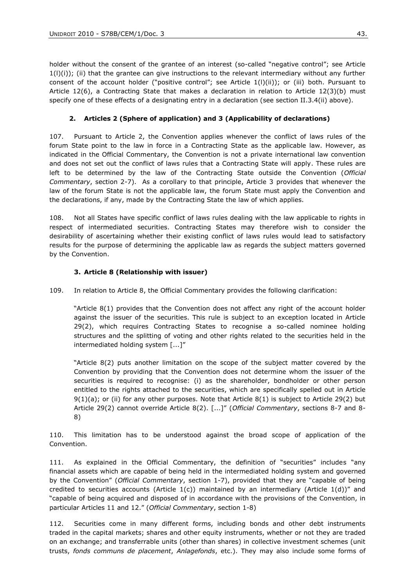holder without the consent of the grantee of an interest (so-called "negative control"; see Article  $1(1)(i)$ ; (ii) that the grantee can give instructions to the relevant intermediary without any further consent of the account holder ("positive control"; see Article  $1(1)(ii)$ ); or (iii) both. Pursuant to Article 12(6), a Contracting State that makes a declaration in relation to Article 12(3)(b) must specify one of these effects of a designating entry in a declaration (see section II.3.4(ii) above).

#### **2. Articles 2 (Sphere of application) and 3 (Applicability of declarations)**

107. Pursuant to Article 2, the Convention applies whenever the conflict of laws rules of the forum State point to the law in force in a Contracting State as the applicable law. However, as indicated in the Official Commentary, the Convention is not a private international law convention and does not set out the conflict of laws rules that a Contracting State will apply. These rules are left to be determined by the law of the Contracting State outside the Convention (*Official Commentary*, section 2-7). As a corollary to that principle, Article 3 provides that whenever the law of the forum State is not the applicable law, the forum State must apply the Convention and the declarations, if any, made by the Contracting State the law of which applies.

108. Not all States have specific conflict of laws rules dealing with the law applicable to rights in respect of intermediated securities. Contracting States may therefore wish to consider the desirability of ascertaining whether their existing conflict of laws rules would lead to satisfactory results for the purpose of determining the applicable law as regards the subject matters governed by the Convention.

### **3. Article 8 (Relationship with issuer)**

109. In relation to Article 8, the Official Commentary provides the following clarification:

"Article 8(1) provides that the Convention does not affect any right of the account holder against the issuer of the securities. This rule is subject to an exception located in Article 29(2), which requires Contracting States to recognise a so-called nominee holding structures and the splitting of voting and other rights related to the securities held in the intermediated holding system [...]"

"Article 8(2) puts another limitation on the scope of the subject matter covered by the Convention by providing that the Convention does not determine whom the issuer of the securities is required to recognise: (i) as the shareholder, bondholder or other person entitled to the rights attached to the securities, which are specifically spelled out in Article 9(1)(a); or (ii) for any other purposes. Note that Article 8(1) is subject to Article 29(2) but Article 29(2) cannot override Article 8(2). [...]" (*Official Commentary*, sections 8-7 and 8- 8)

110. This limitation has to be understood against the broad scope of application of the Convention.

111. As explained in the Official Commentary, the definition of "securities" includes "any financial assets which are capable of being held in the intermediated holding system and governed by the Convention" (*Official Commentary*, section 1-7), provided that they are "capable of being credited to securities accounts (Article  $1(c)$ ) maintained by an intermediary (Article  $1(d)$ )" and "capable of being acquired and disposed of in accordance with the provisions of the Convention, in particular Articles 11 and 12." (*Official Commentary*, section 1-8)

112. Securities come in many different forms, including bonds and other debt instruments traded in the capital markets; shares and other equity instruments, whether or not they are traded on an exchange; and transferrable units (other than shares) in collective investment schemes (unit trusts, *fonds communs de placement*, *Anlagefonds*, etc.). They may also include some forms of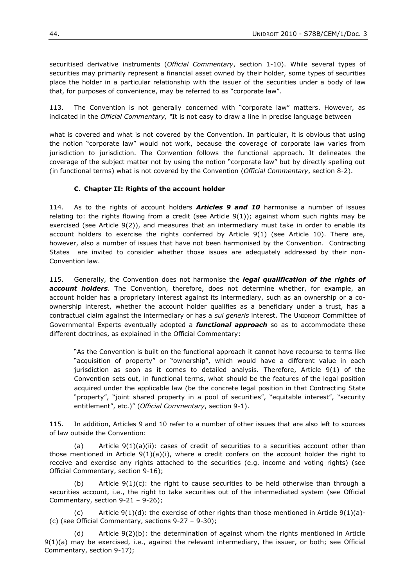securitised derivative instruments (*Official Commentary*, section 1-10). While several types of securities may primarily represent a financial asset owned by their holder, some types of securities place the holder in a particular relationship with the issuer of the securities under a body of law that, for purposes of convenience, may be referred to as "corporate law".

113. The Convention is not generally concerned with "corporate law" matters. However, as indicated in the *Official Commentary, "*It is not easy to draw a line in precise language between

what is covered and what is not covered by the Convention. In particular, it is obvious that using the notion "corporate law" would not work, because the coverage of corporate law varies from jurisdiction to jurisdiction. The Convention follows the functional approach. It delineates the coverage of the subject matter not by using the notion "corporate law" but by directly spelling out (in functional terms) what is not covered by the Convention (*Official Commentary*, section 8-2).

#### **C. Chapter II: Rights of the account holder**

114. As to the rights of account holders *Articles 9 and 10* harmonise a number of issues relating to: the rights flowing from a credit (see Article 9(1)); against whom such rights may be exercised (see Article 9(2)), and measures that an intermediary must take in order to enable its account holders to exercise the rights conferred by Article 9(1) (see Article 10). There are, however, also a number of issues that have not been harmonised by the Convention. Contracting States are invited to consider whether those issues are adequately addressed by their non-Convention law.

115. Generally, the Convention does not harmonise the *legal qualification of the rights of account holders*. The Convention, therefore, does not determine whether, for example, an account holder has a proprietary interest against its intermediary, such as an ownership or a coownership interest, whether the account holder qualifies as a beneficiary under a trust, has a contractual claim against the intermediary or has a *sui generis* interest. The UNIDROIT Committee of Governmental Experts eventually adopted a *functional approach* so as to accommodate these different doctrines, as explained in the Official Commentary:

"As the Convention is built on the functional approach it cannot have recourse to terms like "acquisition of property" or "ownership", which would have a different value in each jurisdiction as soon as it comes to detailed analysis. Therefore, Article 9(1) of the Convention sets out, in functional terms, what should be the features of the legal position acquired under the applicable law (be the concrete legal position in that Contracting State "property", "joint shared property in a pool of securities", "equitable interest", "security entitlement", etc.)" (*Official Commentary*, section 9-1).

115. In addition, Articles 9 and 10 refer to a number of other issues that are also left to sources of law outside the Convention:

(a) Article  $9(1)(a)(ii)$ : cases of credit of securities to a securities account other than those mentioned in Article  $9(1)(a)(i)$ , where a credit confers on the account holder the right to receive and exercise any rights attached to the securities (e.g. income and voting rights) (see Official Commentary, section 9-16);

(b) Article  $9(1)(c)$ : the right to cause securities to be held otherwise than through a securities account, i.e., the right to take securities out of the intermediated system (see Official Commentary, section 9-21 – 9-26);

(c) Article  $9(1)(d)$ : the exercise of other rights than those mentioned in Article  $9(1)(a)$ -(c) (see Official Commentary, sections 9-27 – 9-30);

(d) Article 9(2)(b): the determination of against whom the rights mentioned in Article 9(1)(a) may be exercised, i.e., against the relevant intermediary, the issuer, or both; see Official Commentary, section 9-17);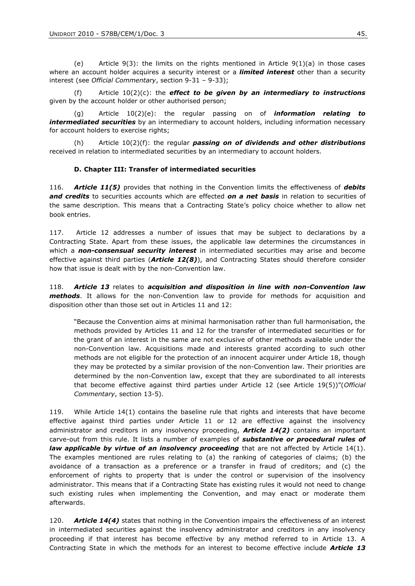(e) Article  $9(3)$ : the limits on the rights mentioned in Article  $9(1)(a)$  in those cases where an account holder acquires a security interest or a *limited interest* other than a security interest (see *Official Commentary*, section 9-31 – 9-33);

Article  $10(2)(c)$ : the **effect to be given by an intermediary to instructions** given by the account holder or other authorised person;

(g) Article 10(2)(e): the regular passing on of *information relating to intermediated securities* by an intermediary to account holders, including information necessary for account holders to exercise rights;

(h) Article 10(2)(f): the regular *passing on of dividends and other distributions* received in relation to intermediated securities by an intermediary to account holders.

#### **D. Chapter III: Transfer of intermediated securities**

116. *Article 11(5)* provides that nothing in the Convention limits the effectiveness of *debits and credits* to securities accounts which are effected *on a net basis* in relation to securities of the same description. This means that a Contracting State's policy choice whether to allow net book entries.

117. Article 12 addresses a number of issues that may be subject to declarations by a Contracting State. Apart from these issues, the applicable law determines the circumstances in which a *non-consensual security interest* in intermediated securities may arise and become effective against third parties (*Article 12(8)*), and Contracting States should therefore consider how that issue is dealt with by the non-Convention law.

118. *Article 13* relates to *acquisition and disposition in line with non-Convention law methods*. It allows for the non-Convention law to provide for methods for acquisition and disposition other than those set out in Articles 11 and 12:

"Because the Convention aims at minimal harmonisation rather than full harmonisation, the methods provided by Articles 11 and 12 for the transfer of intermediated securities or for the grant of an interest in the same are not exclusive of other methods available under the non-Convention law. Acquisitions made and interests granted according to such other methods are not eligible for the protection of an innocent acquirer under Article 18, though they may be protected by a similar provision of the non-Convention law. Their priorities are determined by the non-Convention law, except that they are subordinated to all interests that become effective against third parties under Article 12 (see Article 19(5))"(*Official Commentary*, section 13-5).

119. While Article 14(1) contains the baseline rule that rights and interests that have become effective against third parties under Article 11 or 12 are effective against the insolvency administrator and creditors in any insolvency proceeding, *Article 14(2)* contains an important carve-out from this rule. It lists a number of examples of *substantive or procedural rules of law applicable by virtue of an insolvency proceeding* that are not affected by Article 14(1). The examples mentioned are rules relating to (a) the ranking of categories of claims; (b) the avoidance of a transaction as a preference or a transfer in fraud of creditors; and (c) the enforcement of rights to property that is under the control or supervision of the insolvency administrator. This means that if a Contracting State has existing rules it would not need to change such existing rules when implementing the Convention, and may enact or moderate them afterwards.

120. *Article 14(4)* states that nothing in the Convention impairs the effectiveness of an interest in intermediated securities against the insolvency administrator and creditors in any insolvency proceeding if that interest has become effective by any method referred to in Article 13. A Contracting State in which the methods for an interest to become effective include *Article 13*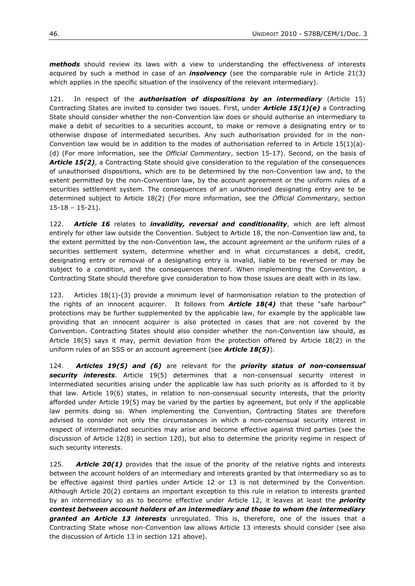*methods* should review its laws with a view to understanding the effectiveness of interests acquired by such a method in case of an *insolvency* (see the comparable rule in Article 21(3) which applies in the specific situation of the insolvency of the relevant intermediary).

121. In respect of the *authorisation of dispositions by an intermediary* (Article 15) Contracting States are invited to consider two issues. First, under *Article 15(1)(e)* a Contracting State should consider whether the non-Convention law does or should authorise an intermediary to make a debit of securities to a securities account, to make or remove a designating entry or to otherwise dispose of intermediated securities. Any such authorisation provided for in the non-Convention law would be in addition to the modes of authorisation referred to in Article  $15(1)(a)$ -(d) (For more information, see the *Official Commentary*, section 15-17). Second, on the basis of **Article 15(2)**, a Contracting State should give consideration to the regulation of the consequences of unauthorised dispositions, which are to be determined by the non-Convention law and, to the extent permitted by the non-Convention law, by the account agreement or the uniform rules of a securities settlement system. The consequences of an unauthorised designating entry are to be determined subject to Article 18(2) (For more information, see the *Official Commentary*, section 15-18 – 15-21).

122. *Article 16* relates to *invalidity, reversal and conditionality*, which are left almost entirely for other law outside the Convention. Subject to Article 18, the non-Convention law and, to the extent permitted by the non-Convention law, the account agreement or the uniform rules of a securities settlement system, determine whether and in what circumstances a debit, credit, designating entry or removal of a designating entry is invalid, liable to be reversed or may be subject to a condition, and the consequences thereof. When implementing the Convention, a Contracting State should therefore give consideration to how those issues are dealt with in its law.

123. Articles 18(1)-(3) provide a minimum level of harmonisation relation to the protection of the rights of an innocent acquirer. It follows from *Article 18(4)* that these "safe harbour" protections may be further supplemented by the applicable law, for example by the applicable law providing that an innocent acquirer is also protected in cases that are not covered by the Convention. Contracting States should also consider whether the non-Convention law should, as Article 18(5) says it may, permit deviation from the protection offered by Article 18(2) in the uniform rules of an SSS or an account agreement (see *Article 18(5)*).

124. *Articles 19(5) and (6)* are relevant for the *priority status of non-consensual security interests*. Article 19(5) determines that a non-consensual security interest in intermediated securities arising under the applicable law has such priority as is afforded to it by that law. Article 19(6) states, in relation to non-consensual security interests, that the priority afforded under Article 19(5) may be varied by the parties by agreement, but only if the applicable law permits doing so. When implementing the Convention, Contracting States are therefore advised to consider not only the circumstances in which a non-consensual security interest in respect of intermediated securities may arise and become effective against third parties (see the discussion of Article 12(8) in section 120), but also to determine the priority regime in respect of such security interests.

125. *Article 20(1)* provides that the issue of the priority of the relative rights and interests between the account holders of an intermediary and interests granted by that intermediary so as to be effective against third parties under Article 12 or 13 is not determined by the Convention. Although Article 20(2) contains an important exception to this rule in relation to interests granted by an intermediary so as to become effective under Article 12, it leaves at least the *priority contest between account holders of an intermediary and those to whom the intermediary granted an Article 13 interests* unregulated. This is, therefore, one of the issues that a Contracting State whose non-Convention law allows Article 13 interests should consider (see also the discussion of Article 13 in section 121 above).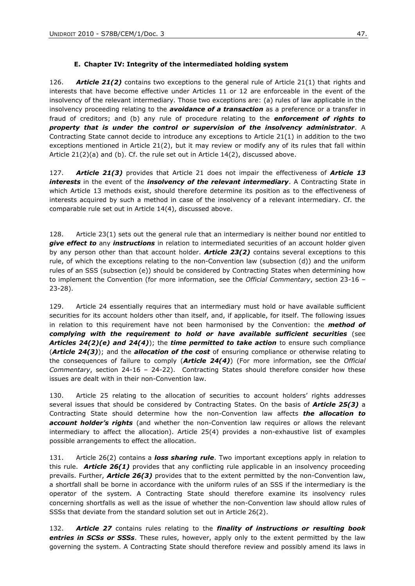#### **E. Chapter IV: Integrity of the intermediated holding system**

126. *Article 21(2)* contains two exceptions to the general rule of Article 21(1) that rights and interests that have become effective under Articles 11 or 12 are enforceable in the event of the insolvency of the relevant intermediary. Those two exceptions are: (a) rules of law applicable in the insolvency proceeding relating to the *avoidance of a transaction* as a preference or a transfer in fraud of creditors; and (b) any rule of procedure relating to the *enforcement of rights to property that is under the control or supervision of the insolvency administrator*. A Contracting State cannot decide to introduce any exceptions to Article 21(1) in addition to the two exceptions mentioned in Article 21(2), but it may review or modify any of its rules that fall within Article  $21(2)(a)$  and (b). Cf. the rule set out in Article  $14(2)$ , discussed above.

127. *Article 21(3)* provides that Article 21 does not impair the effectiveness of *Article 13 interests* in the event of the *insolvency of the relevant intermediary*. A Contracting State in which Article 13 methods exist, should therefore determine its position as to the effectiveness of interests acquired by such a method in case of the insolvency of a relevant intermediary. Cf. the comparable rule set out in Article 14(4), discussed above.

128. Article 23(1) sets out the general rule that an intermediary is neither bound nor entitled to *give effect to* any *instructions* in relation to intermediated securities of an account holder given by any person other than that account holder. *Article 23(2)* contains several exceptions to this rule, of which the exceptions relating to the non-Convention law (subsection (d)) and the uniform rules of an SSS (subsection (e)) should be considered by Contracting States when determining how to implement the Convention (for more information, see the *Official Commentary*, section 23-16 – 23-28).

129. Article 24 essentially requires that an intermediary must hold or have available sufficient securities for its account holders other than itself, and, if applicable, for itself. The following issues in relation to this requirement have not been harmonised by the Convention: the *method of complying with the requirement to hold or have available sufficient securities* (see *Articles 24(2)(e) and 24(4)*); the *time permitted to take action* to ensure such compliance (*Article 24(3)*); and the *allocation of the cost* of ensuring compliance or otherwise relating to the consequences of failure to comply (*Article 24(4)*) (For more information, see the *Official Commentary*, section 24-16 – 24-22). Contracting States should therefore consider how these issues are dealt with in their non-Convention law.

130. Article 25 relating to the allocation of securities to account holders' rights addresses several issues that should be considered by Contracting States. On the basis of *Article 25(3)* a Contracting State should determine how the non-Convention law affects *the allocation to account holder's rights* (and whether the non-Convention law requires or allows the relevant intermediary to affect the allocation). Article 25(4) provides a non-exhaustive list of examples possible arrangements to effect the allocation.

131. Article 26(2) contains a *loss sharing rule*. Two important exceptions apply in relation to this rule. *Article 26(1)* provides that any conflicting rule applicable in an insolvency proceeding prevails. Further, *Article 26(3)* provides that to the extent permitted by the non-Convention law, a shortfall shall be borne in accordance with the uniform rules of an SSS if the intermediary is the operator of the system. A Contracting State should therefore examine its insolvency rules concerning shortfalls as well as the issue of whether the non-Convention law should allow rules of SSSs that deviate from the standard solution set out in Article 26(2).

132. *Article 27* contains rules relating to the *finality of instructions or resulting book entries in SCSs or SSSs*. These rules, however, apply only to the extent permitted by the law governing the system. A Contracting State should therefore review and possibly amend its laws in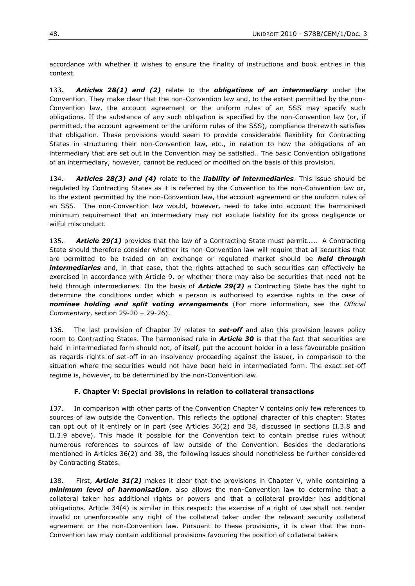accordance with whether it wishes to ensure the finality of instructions and book entries in this context.

133. *Articles 28(1) and (2)* relate to the *obligations of an intermediary* under the Convention. They make clear that the non-Convention law and, to the extent permitted by the non-Convention law, the account agreement or the uniform rules of an SSS may specify such obligations. If the substance of any such obligation is specified by the non-Convention law (or, if permitted, the account agreement or the uniform rules of the SSS), compliance therewith satisfies that obligation. These provisions would seem to provide considerable flexibility for Contracting States in structuring their non-Convention law, etc., in relation to how the obligations of an intermediary that are set out in the Convention may be satisfied.. The basic Convention obligations of an intermediary, however, cannot be reduced or modified on the basis of this provision.

134. *Articles 28(3) and (4)* relate to the *liability of intermediaries*. This issue should be regulated by Contracting States as it is referred by the Convention to the non-Convention law or, to the extent permitted by the non-Convention law, the account agreement or the uniform rules of an SSS. The non-Convention law would, however, need to take into account the harmonised minimum requirement that an intermediary may not exclude liability for its gross negligence or wilful misconduct.

135. *Article 29(1)* provides that the law of a Contracting State must permit…… A Contracting State should therefore consider whether its non-Convention law will require that all securities that are permitted to be traded on an exchange or regulated market should be *held through intermediaries* and, in that case, that the rights attached to such securities can effectively be exercised in accordance with Article 9, or whether there may also be securities that need not be held through intermediaries. On the basis of *Article 29(2)* a Contracting State has the right to determine the conditions under which a person is authorised to exercise rights in the case of *nominee holding and split voting arrangements* (For more information, see the *Official Commentary*, section 29-20 – 29-26).

136. The last provision of Chapter IV relates to *set-off* and also this provision leaves policy room to Contracting States. The harmonised rule in *Article 30* is that the fact that securities are held in intermediated form should not, of itself, put the account holder in a less favourable position as regards rights of set-off in an insolvency proceeding against the issuer, in comparison to the situation where the securities would not have been held in intermediated form. The exact set-off regime is, however, to be determined by the non-Convention law.

#### **F. Chapter V: Special provisions in relation to collateral transactions**

137. In comparison with other parts of the Convention Chapter V contains only few references to sources of law outside the Convention. This reflects the optional character of this chapter: States can opt out of it entirely or in part (see Articles 36(2) and 38, discussed in sections II.3.8 and II.3.9 above). This made it possible for the Convention text to contain precise rules without numerous references to sources of law outside of the Convention. Besides the declarations mentioned in Articles 36(2) and 38, the following issues should nonetheless be further considered by Contracting States.

138. First, **Article 31(2)** makes it clear that the provisions in Chapter V, while containing a *minimum level of harmonisation*, also allows the non-Convention law to determine that a collateral taker has additional rights or powers and that a collateral provider has additional obligations. Article 34(4) is similar in this respect: the exercise of a right of use shall not render invalid or unenforceable any right of the collateral taker under the relevant security collateral agreement or the non-Convention law. Pursuant to these provisions, it is clear that the non-Convention law may contain additional provisions favouring the position of collateral takers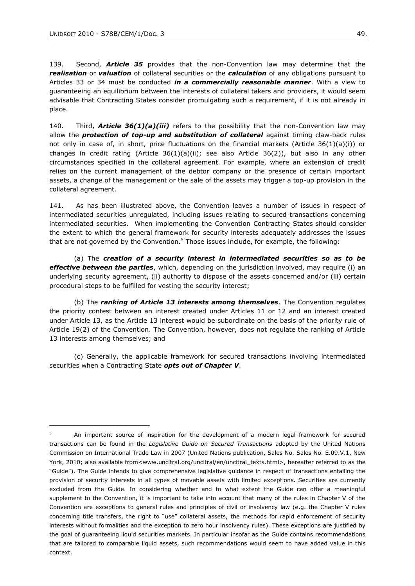$\overline{a}$ 

139. Second, *Article 35* provides that the non-Convention law may determine that the *realisation* or *valuation* of collateral securities or the *calculation* of any obligations pursuant to Articles 33 or 34 must be conducted *in a commercially reasonable manner*. With a view to guaranteeing an equilibrium between the interests of collateral takers and providers, it would seem advisable that Contracting States consider promulgating such a requirement, if it is not already in place.

140. Third, *Article 36(1)(a)(iii)* refers to the possibility that the non-Convention law may allow the *protection of top-up and substitution of collateral* against timing claw-back rules not only in case of, in short, price fluctuations on the financial markets (Article  $36(1)(a)(i)$ ) or changes in credit rating (Article  $36(1)(a)(ii)$ ; see also Article  $36(2)$ ), but also in any other circumstances specified in the collateral agreement. For example, where an extension of credit relies on the current management of the debtor company or the presence of certain important assets, a change of the management or the sale of the assets may trigger a top-up provision in the collateral agreement.

141. As has been illustrated above, the Convention leaves a number of issues in respect of intermediated securities unregulated, including issues relating to secured transactions concerning intermediated securities. When implementing the Convention Contracting States should consider the extent to which the general framework for security interests adequately addresses the issues that are not governed by the Convention.<sup>5</sup> Those issues include, for example, the following:

(a) The *creation of a security interest in intermediated securities so as to be effective between the parties*, which, depending on the jurisdiction involved, may require (i) an underlying security agreement, (ii) authority to dispose of the assets concerned and/or (iii) certain procedural steps to be fulfilled for vesting the security interest;

(b) The *ranking of Article 13 interests among themselves*. The Convention regulates the priority contest between an interest created under Articles 11 or 12 and an interest created under Article 13, as the Article 13 interest would be subordinate on the basis of the priority rule of Article 19(2) of the Convention. The Convention, however, does not regulate the ranking of Article 13 interests among themselves; and

(c) Generally, the applicable framework for secured transactions involving intermediated securities when a Contracting State *opts out of Chapter V*.

<sup>&</sup>lt;sup>5</sup> An important source of inspiration for the development of a modern legal framework for secured transactions can be found in the *Legislative Guide on Secured Transactions* adopted by the United Nations Commission on International Trade Law in 2007 (United Nations publication, Sales No. Sales No. E.09.V.1, New York, 2010; also available from<www.uncitral.org/uncitral/en/uncitral\_texts.html>, hereafter referred to as the "Guide"). The Guide intends to give comprehensive legislative guidance in respect of transactions entailing the provision of security interests in all types of movable assets with limited exceptions. Securities are currently excluded from the Guide. In considering whether and to what extent the Guide can offer a meaningful supplement to the Convention, it is important to take into account that many of the rules in Chapter V of the Convention are exceptions to general rules and principles of civil or insolvency law (e.g. the Chapter V rules concerning title transfers, the right to "use" collateral assets, the methods for rapid enforcement of security interests without formalities and the exception to zero hour insolvency rules). These exceptions are justified by the goal of guaranteeing liquid securities markets. In particular insofar as the Guide contains recommendations that are tailored to comparable liquid assets, such recommendations would seem to have added value in this context.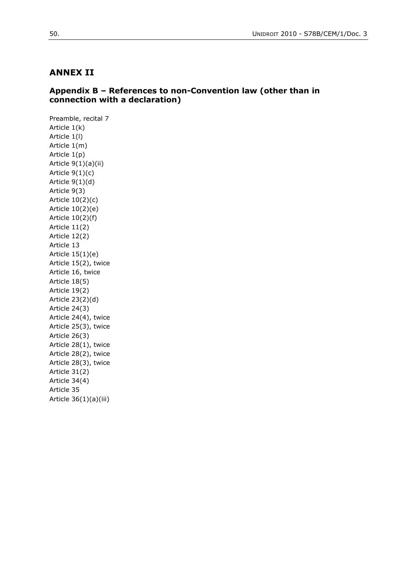## **ANNEX II**

## **Appendix B – References to non-Convention law (other than in connection with a declaration)**

Preamble, recital 7 Article 1(k) Article 1(l) Article 1(m) Article 1(p) Article 9(1)(a)(ii) Article 9(1)(c) Article 9(1)(d) Article 9(3) Article 10(2)(c) Article 10(2)(e) Article 10(2)(f) Article 11(2) Article 12(2) Article 13 Article 15(1)(e) Article 15(2), twice Article 16, twice Article 18(5) Article 19(2) Article 23(2)(d) Article 24(3) Article 24(4), twice Article 25(3), twice Article 26(3) Article 28(1), twice Article 28(2), twice Article 28(3), twice Article 31(2) Article 34(4) Article 35 Article 36(1)(a)(iii)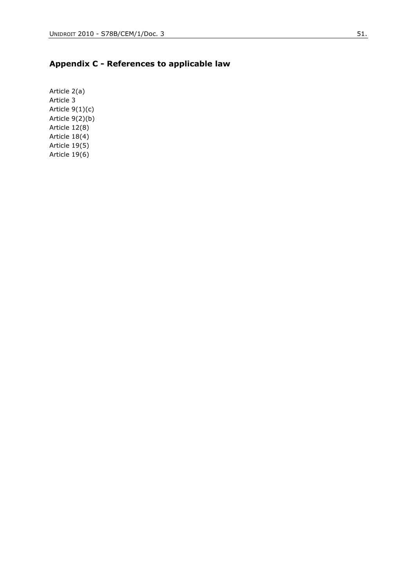# **Appendix C - References to applicable law**

Article 2(a) Article 3 Article 9(1)(c) Article 9(2)(b) Article 12(8) Article 18(4) Article 19(5) Article 19(6)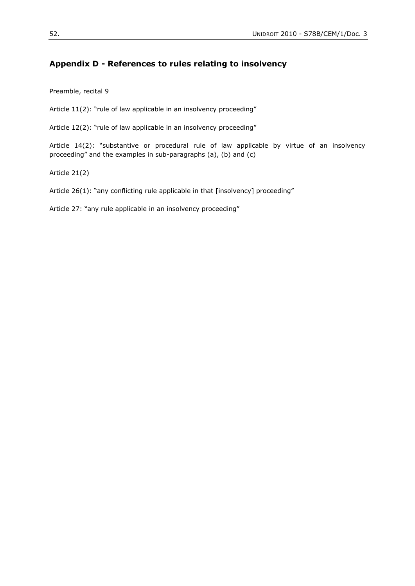## **Appendix D - References to rules relating to insolvency**

Preamble, recital 9

Article 11(2): "rule of law applicable in an insolvency proceeding"

Article 12(2): "rule of law applicable in an insolvency proceeding"

Article 14(2): "substantive or procedural rule of law applicable by virtue of an insolvency proceeding" and the examples in sub-paragraphs (a), (b) and (c)

Article 21(2)

Article 26(1): "any conflicting rule applicable in that [insolvency] proceeding"

Article 27: "any rule applicable in an insolvency proceeding"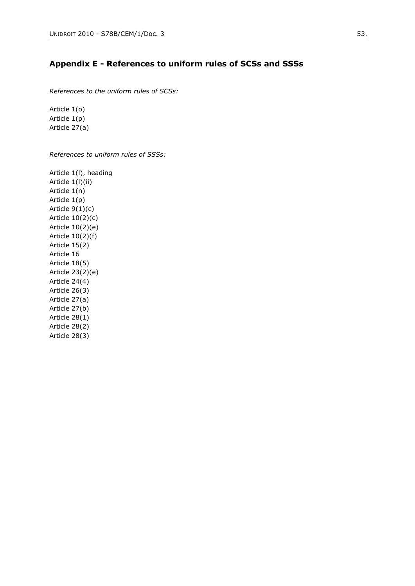## **Appendix E - References to uniform rules of SCSs and SSSs**

*References to the uniform rules of SCSs:*

Article 1(o) Article 1(p) Article 27(a)

*References to uniform rules of SSSs:*

Article 1(l), heading Article 1(l)(ii) Article 1(n) Article 1(p) Article 9(1)(c) Article 10(2)(c) Article 10(2)(e) Article 10(2)(f) Article 15(2) Article 16 Article 18(5) Article 23(2)(e) Article 24(4) Article 26(3) Article 27(a) Article 27(b) Article 28(1) Article 28(2) Article 28(3)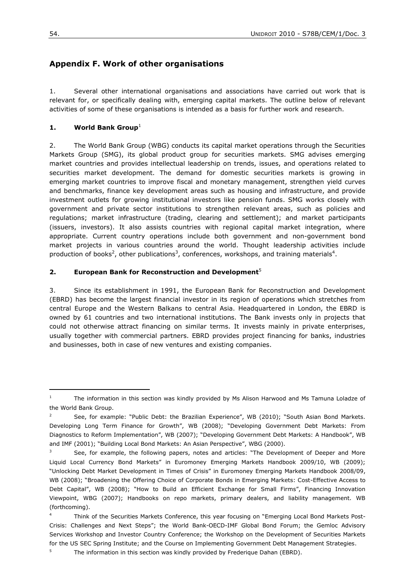# **Appendix F. Work of other organisations**

1. Several other international organisations and associations have carried out work that is relevant for, or specifically dealing with, emerging capital markets. The outline below of relevant activities of some of these organisations is intended as a basis for further work and research.

### **1. World Bank Group**<sup>1</sup>

2. The World Bank Group (WBG) conducts its capital market operations through the Securities Markets Group (SMG), its global product group for securities markets. SMG advises emerging market countries and provides intellectual leadership on trends, issues, and operations related to securities market development. The demand for domestic securities markets is growing in emerging market countries to improve fiscal and monetary management, strengthen yield curves and benchmarks, finance key development areas such as housing and infrastructure, and provide investment outlets for growing institutional investors like pension funds. SMG works closely with government and private sector institutions to strengthen relevant areas, such as policies and regulations; market infrastructure (trading, clearing and settlement); and market participants (issuers, investors). It also assists countries with regional capital market integration, where appropriate. Current country operations include both government and non-government bond market projects in various countries around the world. Thought leadership activities include production of books<sup>2</sup>, other publications<sup>3</sup>, conferences, workshops, and training materials<sup>4</sup>.

#### **2. European Bank for Reconstruction and Development**<sup>5</sup>

3. Since its establishment in 1991, the European Bank for Reconstruction and Development (EBRD) has become the largest financial investor in its region of operations which stretches from central Europe and the Western Balkans to central Asia. Headquartered in London, the EBRD is owned by 61 countries and two international institutions. The Bank invests only in projects that could not otherwise attract financing on similar terms. It invests mainly in private enterprises, usually together with commercial partners. EBRD provides project financing for banks, industries and businesses, both in case of new ventures and existing companies.

<sup>&</sup>lt;sup>1</sup> The information in this section was kindly provided by Ms Alison Harwood and Ms Tamuna Loladze of the World Bank Group.

<sup>&</sup>lt;sup>2</sup> See, for example: "Public Debt: the Brazilian Experience", WB (2010); "South Asian Bond Markets. Developing Long Term Finance for Growth", WB (2008); "Developing Government Debt Markets: From Diagnostics to Reform Implementation", WB (2007); "Developing Government Debt Markets: A Handbook", WB and IMF (2001); "Building Local Bond Markets: An Asian Perspective", WBG (2000).

See, for example, the following papers, notes and articles: "The Development of Deeper and More Liquid Local Currency Bond Markets" in Euromoney Emerging Markets Handbook 2009/10, WB (2009); "Unlocking Debt Market Development in Times of Crisis" in Euromoney Emerging Markets Handbook 2008/09, WB (2008); "Broadening the Offering Choice of Corporate Bonds in Emerging Markets: Cost-Effective Access to Debt Capital", WB (2008); "How to Build an Efficient Exchange for Small Firms", Financing Innovation Viewpoint, WBG (2007); Handbooks on repo markets, primary dealers, and liability management. WB (forthcoming).

Think of the Securities Markets Conference, this year focusing on "Emerging Local Bond Markets Post-Crisis: Challenges and Next Steps"; the World Bank-OECD-IMF Global Bond Forum; the Gemloc Advisory Services Workshop and Investor Country Conference; the Workshop on the Development of Securities Markets for the US SEC Spring Institute; and the Course on Implementing Government Debt Management Strategies.

<sup>5</sup> The information in this section was kindly provided by Frederique Dahan (EBRD).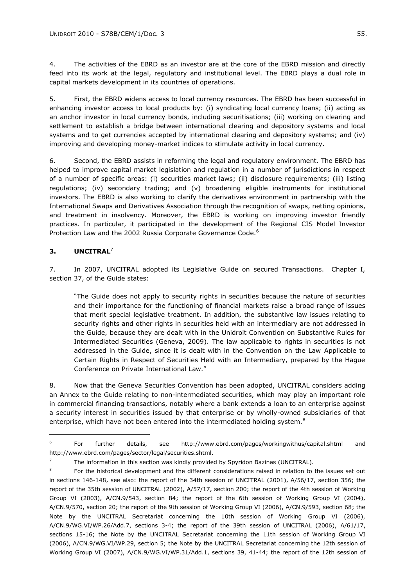4. The activities of the EBRD as an investor are at the core of the EBRD mission and directly feed into its work at the legal, regulatory and institutional level. The EBRD plays a dual role in capital markets development in its countries of operations.

5. First, the EBRD widens access to local currency resources. The EBRD has been successful in enhancing investor access to local products by: (i) syndicating local currency loans; (ii) acting as an anchor investor in local currency bonds, including securitisations; (iii) working on clearing and settlement to establish a bridge between international clearing and depository systems and local systems and to get currencies accepted by international clearing and depository systems; and (iv) improving and developing money-market indices to stimulate activity in local currency.

6. Second, the EBRD assists in reforming the legal and regulatory environment. The EBRD has helped to improve capital market legislation and regulation in a number of jurisdictions in respect of a number of specific areas: (i) securities market laws; (ii) disclosure requirements; (iii) listing regulations; (iv) secondary trading; and (v) broadening eligible instruments for institutional investors. The EBRD is also working to clarify the derivatives environment in partnership with the International Swaps and Derivatives Association through the recognition of swaps, netting opinions, and treatment in insolvency. Moreover, the EBRD is working on improving investor friendly practices. In particular, it participated in the development of the Regional CIS Model Investor Protection Law and the 2002 Russia Corporate Governance Code.<sup>6</sup>

### **3. UNCITRAL**<sup>7</sup>

 $\overline{a}$ 

7. In 2007, UNCITRAL adopted its Legislative Guide on secured Transactions. Chapter I, section 37, of the Guide states:

"The Guide does not apply to security rights in securities because the nature of securities and their importance for the functioning of financial markets raise a broad range of issues that merit special legislative treatment. In addition, the substantive law issues relating to security rights and other rights in securities held with an intermediary are not addressed in the Guide, because they are dealt with in the Unidroit Convention on Substantive Rules for Intermediated Securities (Geneva, 2009). The law applicable to rights in securities is not addressed in the Guide, since it is dealt with in the Convention on the Law Applicable to Certain Rights in Respect of Securities Held with an Intermediary, prepared by the Hague Conference on Private International Law."

8. Now that the Geneva Securities Convention has been adopted, UNCITRAL considers adding an Annex to the Guide relating to non-intermediated securities, which may play an important role in commercial financing transactions, notably where a bank extends a loan to an enterprise against a security interest in securities issued by that enterprise or by wholly-owned subsidiaries of that enterprise, which have not been entered into the intermediated holding system.<sup>8</sup>

<sup>6</sup> For further details, see http://www.ebrd.com/pages/workingwithus/capital.shtml and http://www.ebrd.com/pages/sector/legal/securities.shtml.

<sup>7</sup> The information in this section was kindly provided by Spyridon Bazinas (UNCITRAL).

<sup>8</sup> For the historical development and the different considerations raised in relation to the issues set out in sections 146-148, see also: the report of the 34th session of UNCITRAL (2001), A/56/17, section 356; the report of the 35th session of UNCITRAL (2002), A/57/17, section 200; the report of the 4th session of Working Group VI (2003), A/CN.9/543, section 84; the report of the 6th session of Working Group VI (2004), A/CN.9/570, section 20; the report of the 9th session of Working Group VI (2006), A/CN.9/593, section 68; the Note by the UNCITRAL Secretariat concerning the 10th session of Working Group VI (2006), A/CN.9/WG.VI/WP.26/Add.7, sections 3-4; the report of the 39th session of UNCITRAL (2006), A/61/17, sections 15-16; the Note by the UNCITRAL Secretariat concerning the 11th session of Working Group VI (2006), A/CN.9/WG.VI/WP.29, section 5; the Note by the UNCITRAL Secretariat concerning the 12th session of Working Group VI (2007), A/CN.9/WG.VI/WP.31/Add.1, sections 39, 41-44; the report of the 12th session of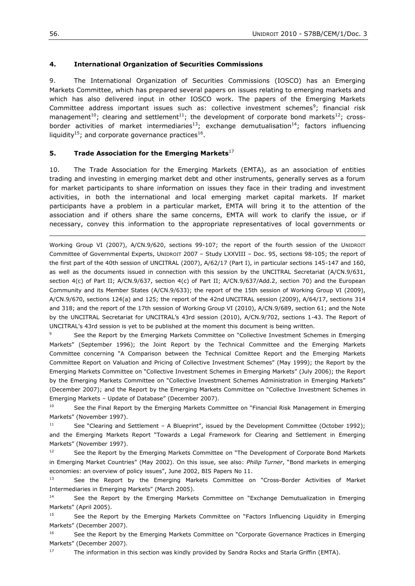#### **4. International Organization of Securities Commissions**

9. The International Organization of Securities Commissions (IOSCO) has an Emerging Markets Committee, which has prepared several papers on issues relating to emerging markets and which has also delivered input in other IOSCO work. The papers of the Emerging Markets Committee address important issues such as: collective investment schemes<sup>9</sup>; financial risk management<sup>10</sup>; clearing and settlement<sup>11</sup>; the development of corporate bond markets<sup>12</sup>; crossborder activities of market intermediaries<sup>13</sup>; exchange demutualisation<sup>14</sup>; factors influencing liquidity<sup>15</sup>; and corporate governance practices<sup>16</sup>.

#### **5. Trade Association for the Emerging Markets**<sup>17</sup>

10. The Trade Association for the Emerging Markets (EMTA), as an association of entities trading and investing in emerging market debt and other instruments, generally serves as a forum for market participants to share information on issues they face in their trading and investment activities, in both the international and local emerging market capital markets. If market participants have a problem in a particular market, EMTA will bring it to the attention of the association and if others share the same concerns, EMTA will work to clarify the issue, or if necessary, convey this information to the appropriate representatives of local governments or

Working Group VI (2007), A/CN.9/620, sections 99-107; the report of the fourth session of the UNIDROIT Committee of Governmental Experts, UNIDROIT 2007 – Study LXXVIII – Doc. 95, sections 98-105; the report of the first part of the 40th session of UNCITRAL (2007), A/62/17 (Part I), in particular sections 145-147 and 160, as well as the documents issued in connection with this session by the UNCITRAL Secretariat (A/CN.9/631, section 4(c) of Part II; A/CN.9/637, section 4(c) of Part II; A/CN.9/637/Add.2, section 70) and the European Community and its Member States (A/CN.9/633); the report of the 15th session of Working Group VI (2009), A/CN.9/670, sections 124(a) and 125; the report of the 42nd UNCITRAL session (2009), A/64/17, sections 314 and 318; and the report of the 17th session of Working Group VI (2010), A/CN.9/689, section 61; and the Note by the UNCITRAL Secretariat for UNCITRAL"s 43rd session (2010), A/CN.9/702, sections 1-43. The Report of UNCITRAL"s 43rd session is yet to be published at the moment this document is being written.

<sup>9</sup> See the Report by the Emerging Markets Committee on "Collective Investment Schemes in Emerging Markets" (September 1996); the Joint Report by the Technical Committee and the Emerging Markets Committee concerning "A Comparison between the Technical Comittee Report and the Emerging Markets Committee Report on Valuation and Pricing of Collective Investment Schemes" (May 1999); the Report by the Emerging Markets Committee on "Collective Investment Schemes in Emerging Markets" (July 2006); the Report by the Emerging Markets Committee on "Collective Investment Schemes Administration in Emerging Markets" (December 2007); and the Report by the Emerging Markets Committee on "Collective Investment Schemes in Emerging Markets – Update of Database" (December 2007).

<sup>10</sup> See the Final Report by the Emerging Markets Committee on "Financial Risk Management in Emerging Markets" (November 1997).

<sup>11</sup> See "Clearing and Settlement – A Blueprint", issued by the Development Committee (October 1992); and the Emerging Markets Report "Towards a Legal Framework for Clearing and Settlement in Emerging Markets" (November 1997).

<sup>12</sup> See the Report by the Emerging Markets Committee on "The Development of Corporate Bond Markets in Emerging Market Countries" (May 2002). On this issue, see also: *Philip Turner*, "Bond markets in emerging economies: an overview of policy issues", June 2002, BIS Papers No 11.

<sup>13</sup> See the Report by the Emerging Markets Committee on "Cross-Border Activities of Market Intermediaries in Emerging Markets" (March 2005).

<sup>14</sup> See the Report by the Emerging Markets Committee on "Exchange Demutualization in Emerging Markets" (April 2005).

<sup>15</sup> See the Report by the Emerging Markets Committee on "Factors Influencing Liquidity in Emerging Markets" (December 2007).

<sup>16</sup> See the Report by the Emerging Markets Committee on "Corporate Governance Practices in Emerging Markets" (December 2007).

 $17$  The information in this section was kindly provided by Sandra Rocks and Starla Griffin (EMTA).